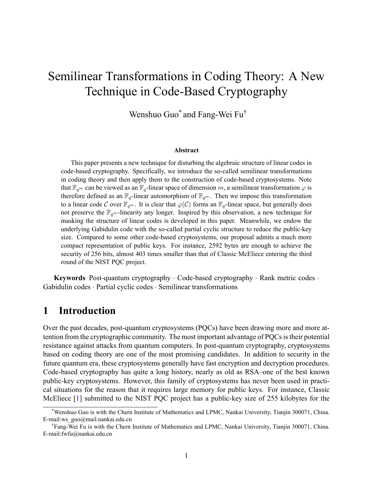# Semilinear Transformations in Coding Theory: A New Technique in Code-Based Cryptography

Wenshuo Guo\* and Fang-Wei Fu†

#### **Abstract**

This paper presents a new technique for disturbing the algebraic structure of linear codes in code-based cryptography. Specifically, we introduce the so-called semilinear transformations in coding theory and then apply them to the construction of code-based cryptosystems. Note that  $\mathbb{F}_{q^m}$  can be viewed as an  $\mathbb{F}_q$ -linear space of dimension *m*, a semilinear transformation  $\varphi$  is therefore defined as an  $\mathbb{F}_q$ -linear automorphism of  $\mathbb{F}_{q^m}$ . Then we impose this transformation to a linear code C over  $\mathbb{F}_{q^m}$ . It is clear that  $\varphi(\mathcal{C})$  forms an  $\mathbb{F}_q$ -linear space, but generally does not preserve the F*q<sup>m</sup>*-linearity any longer. Inspired by this observation, a new technique for masking the structure of linear codes is developed in this paper. Meanwhile, we endow the underlying Gabidulin code with the so-called partial cyclic structure to reduce the public-key size. Compared to some other code-based cryptosystems, our proposal admits a much more compact representation of public keys. For instance, 2592 bytes are enough to achieve the security of 256 bits, almost 403 times smaller than that of Classic McEliece entering the third round of the NIST PQC project.

**Keywords** Post-quantum cryptography *·* Code-based cryptography *·* Rank metric codes *·* Gabidulin codes *·* Partial cyclic codes *·* Semilinear transformations

## **1 Introduction**

Over the past decades, post-quantum cryptosystems (PQCs) have been drawing more and more attention from the cryptographic community. The most important advantage of PQCs is their potential resistance against attacks from quantum computers. In post-quantum cryptography, cryptosystems based on coding theory are one of the most promising candidates. In addition to security in the future quantum era, these cryptosystems generally have fast encryption and decryption procedures. Code-based cryptography has quite a long history, nearly as old as RSA–one of the best known public-key cryptosystems. However, this family of cryptosystems has never been used in practical situations for the reason that it requires large memory for public keys. For instance, Classic McEliece[[1\]](#page-17-0) submitted to the NIST PQC project has a public-key size of 255 kilobytes for the

<sup>\*</sup>Wenshuo Guo is with the Chern Institute of Mathematics and LPMC, Nankai University, Tianjin 300071, China. E-mail:ws\_guo@mail.nankai.edu.cn

<sup>†</sup>Fang-Wei Fu is with the Chern Institute of Mathematics and LPMC, Nankai University, Tianjin 300071, China. E-mail:fwfu@nankai.edu.cn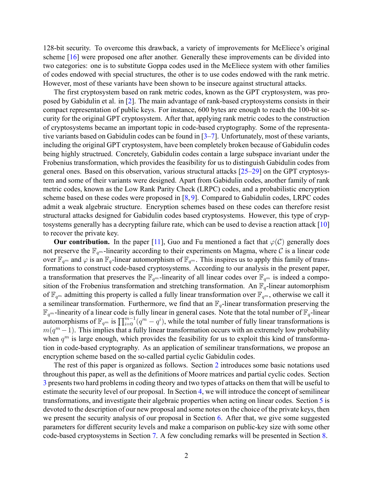128-bit security. To overcome this drawback, a variety of improvements for McEliece's original scheme [\[16](#page-18-0)] were proposed one after another. Generally these improvements can be divided into two categories: one is to substitute Goppa codes used in the McEliece system with other families of codes endowed with special structures, the other is to use codes endowed with the rank metric. However, most of these variants have been shown to be insecure against structural attacks.

The first cryptosystem based on rank metric codes, known as the GPT cryptosystem, was proposed by Gabidulin et al. in [\[2](#page-17-1)]. The main advantage of rank-based cryptosystems consists in their compact representation of public keys. For instance, 600 bytes are enough to reach the 100-bit security for the original GPT cryptosystem. After that, applying rank metric codes to the construction of cryptosystems became an important topic in code-based cryptography. Some of the representativevariants based on Gabidulin codes can be found in  $[3-7]$  $[3-7]$  $[3-7]$ . Unfortunately, most of these variants, including the original GPT cryptosystem, have been completely broken because of Gabidulin codes being highly structrued. Concretely, Gabidulin codes contain a large subspace invariant under the Frobenius transformation, which provides the feasibility for us to distinguish Gabidulin codes from general ones. Based on this observation, various structural attacks[[25–](#page-19-0)[29\]](#page-19-1) on the GPT cryptosystem and some of their variants were designed. Apart from Gabidulin codes, another family of rank metric codes, known as the Low Rank Parity Check (LRPC) codes, and a probabilistic encryption scheme based on these codes were proposed in [\[8](#page-18-2), [9\]](#page-18-3). Compared to Gabidulin codes, LRPC codes admit a weak algebraic structure. Encryption schemes based on these codes can therefore resist structural attacks designed for Gabidulin codes based cryptosystems. However, this type of cryptosystems generally has a decrypting failure rate, which can be used to devise a reaction attack [\[10](#page-18-4)] to recover the private key.

**Ourcontribution.** In the paper [[11](#page-18-5)], Guo and Fu mentioned a fact that  $\varphi(\mathcal{C})$  generally does not preserve the  $\mathbb{F}_{q^m}$ -linearity according to their experiments on Magma, where C is a linear code over  $\mathbb{F}_{q^m}$  and  $\varphi$  is an  $\mathbb{F}_q$ -linear automorphism of  $\mathbb{F}_{q^m}$ . This inspires us to apply this family of transformations to construct code-based cryptosystems. According to our analysis in the present paper, a transformation that preserves the  $\mathbb{F}_{q^m}$ -linearity of all linear codes over  $\mathbb{F}_{q^m}$  is indeed a composition of the Frobenius transformation and stretching transformation. An  $\mathbb{F}_q$ -linear automorphism of  $\mathbb{F}_{q^m}$  admitting this property is called a fully linear transformation over  $\mathbb{F}_{q^m}$ , otherwise we call it a semilinear transformation. Furthermore, we find that an  $\mathbb{F}_q$ -linear transformation preserving the  $\mathbb{F}_{q^m}$ -linearity of a linear code is fully linear in general cases. Note that the total number of  $\mathbb{F}_q$ -linear automorphisms of  $\mathbb{F}_{q^m}$  is  $\prod_{i=0}^{m-1} (q^m - q^i)$ , while the total number of fully linear transformations is  $m(q^m - 1)$ . This implies that a fully linear transformation occurs with an extremely low probability when  $q^m$  is large enough, which provides the feasibility for us to exploit this kind of transformation in code-based cryptography. As an application of semilinear transformations, we propose an encryption scheme based on the so-called partial cyclic Gabidulin codes.

The rest of this paper is organized as follows. Section [2](#page-2-0) introduces some basic notations used throughout this paper, as well as the definitions of Moore matrices and partial cyclic codes. Section [3](#page-4-0) presents two hard problems in coding theory and two types of attacks on them that will be useful to estimate the security level of our proposal. In Section [4,](#page-5-0) we will introduce the concept of semilinear transformations, and investigate their algebraic properties when acting on linear codes. Section [5](#page-9-0) is devoted to the description of our new proposal and some notes on the choice of the private keys, then we present the security analysis of our proposal in Section [6.](#page-14-0) After that, we give some suggested parameters for different security levels and make a comparison on public-key size with some other code-based cryptosystems in Section [7](#page-16-0). A few concluding remarks will be presented in Section [8](#page-16-1).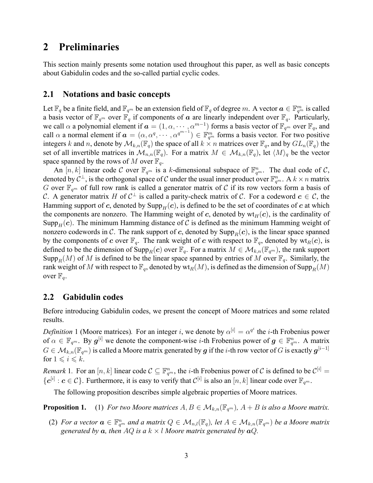## <span id="page-2-0"></span>**2 Preliminaries**

This section mainly presents some notation used throughout this paper, as well as basic concepts about Gabidulin codes and the so-called partial cyclic codes.

### **2.1 Notations and basic concepts**

Let  $\mathbb{F}_q$  be a finite field, and  $\mathbb{F}_{q^m}$  be an extension field of  $\mathbb{F}_q$  of degree *m*. A vector  $a \in \mathbb{F}_{q^m}^m$  is called a basis vector of  $\mathbb{F}_{q^m}$  over  $\mathbb{F}_q$  if components of *a* are linearly independent over  $\mathbb{F}_q$ . Particularly, we call  $\alpha$  a polynomial element if  $\boldsymbol{a} = (1, \alpha, \dots, \alpha^{m-1})$  forms a basis vector of  $\mathbb{F}_{q^m}$  over  $\mathbb{F}_q$ , and call  $\alpha$  a normal element if  $\boldsymbol{a} = (\alpha, \alpha^q, \dots, \alpha^{q^{m-1}}) \in \mathbb{F}_{q^m}^m$  forms a basis vector. For two positive integers *k* and *n*, denote by  $\mathcal{M}_{k,n}(\mathbb{F}_q)$  the space of all  $k \times n$  matrices over  $\mathbb{F}_q$ , and by  $GL_n(\mathbb{F}_q)$  the set of all invertible matrices in  $\mathcal{M}_{n,n}(\mathbb{F}_q)$ . For a matrix  $M \in \mathcal{M}_{k,n}(\mathbb{F}_q)$ , let  $\langle M \rangle_q$  be the vector space spanned by the rows of M over  $\mathbb{F}_q$ .

An  $[n, k]$  linear code C over  $\mathbb{F}_{q^m}$  is a k-dimensional subspace of  $\mathbb{F}_{q^m}^n$ . The dual code of C, denoted by  $C^{\perp}$ , is the orthogonal space of  $C$  under the usual inner product over  $\mathbb{F}_{q^m}^n$ . A  $k \times n$  matrix *G* over  $\mathbb{F}_{q^m}$  of full row rank is called a generator matrix of *C* if its row vectors form a basis of *C*. A generator matrix *H* of *C <sup>⊥</sup>* is called a parity-check matrix of *C*. For a codeword *c ∈ C*, the Hamming support of *c*, denoted by  $\text{Supp}_H(c)$ , is defined to be the set of coordinates of *c* at which the components are nonzero. The Hamming weight of *c*, denoted by  $wt_H(c)$ , is the cardinality of Supp<sub>H</sub>(*c*). The minimum Hamming distance of C is defined as the minimum Hamming weight of nonzero codewords in *C*. The rank support of *c*, denoted by  $\text{Supp}_R(c)$ , is the linear space spanned by the components of *c* over  $\mathbb{F}_q$ . The rank weight of *c* with respect to  $\mathbb{F}_q$ , denoted by  $\text{wt}_R(c)$ , is defined to be the dimension of Supp<sub>*R*</sub>(*c*) over  $\mathbb{F}_q$ . For a matrix  $M \in \mathcal{M}_{k,n}(\mathbb{F}_{q^m})$ , the rank support Supp<sub>*R*</sub>(*M*) of *M* is defined to be the linear space spanned by entries of *M* over  $\mathbb{F}_q$ . Similarly, the rank weight of M with respect to  $\mathbb{F}_q$ , denoted by  $\text{wt}_R(M)$ , is defined as the dimension of  $\text{Supp}_R(M)$ over  $\mathbb{F}_q$ .

### **2.2 Gabidulin codes**

Before introducing Gabidulin codes, we present the concept of Moore matrices and some related results.

*Definition* 1 (Moore matrices). For an integer *i*, we denote by  $\alpha^{[i]} = \alpha^{q^i}$  the *i*-th Frobenius power of  $\alpha \in \mathbb{F}_{q^m}$ . By  $g^{[i]}$  we denote the component-wise *i*-th Frobenius power of  $g \in \mathbb{F}_{q^m}^n$ . A matrix  $G\in\mathcal{M}_{k,n}(\mathbb{F}_{q^m})$  is called a Moore matrix generated by  $\bm{g}$  if the  $i$ -th row vector of  $G$  is exactly  $\bm{g}^{[i-1]}$ for  $1 \leq i \leq k$ .

*Remark* 1. For an  $[n, k]$  linear code  $C \subseteq \mathbb{F}_{q^m}^n$ , the *i*-th Frobenius power of *C* is defined to be  $C^{[i]} =$  ${ \bf c}^{[i]}: {\bf c} \in C$ }. Furthermore, it is easy to verify that  $C^{[i]}$  is also an  $[n, k]$  linear code over  $\mathbb{F}_{q^m}$ .

The following proposition describes simple algebraic properties of Moore matrices.

**Proposition 1.** (1) *For two Moore matrices*  $A, B \in \mathcal{M}_{k,n}(\mathbb{F}_{q^m})$ ,  $A + B$  *is also a Moore matrix.* 

(2) For a vector  $a \in \mathbb{F}_{q^m}^n$  and a matrix  $Q \in \mathcal{M}_{n,l}(\mathbb{F}_q)$ , let  $A \in \mathcal{M}_{k,n}(\mathbb{F}_{q^m})$  be a Moore matrix *generated by*  $a$ *, then*  $AQ$  *is*  $a k \times l$  *Moore matrix generated by*  $aQ$ *.*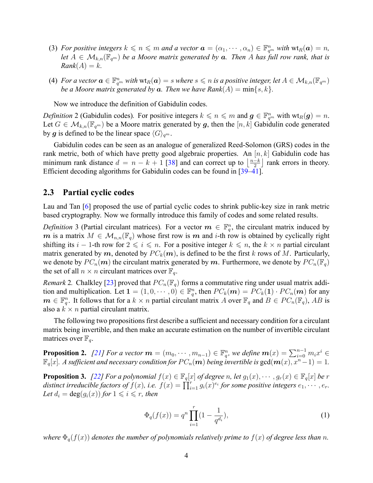- (3) For positive integers  $k \leq n \leq m$  and a vector  $\boldsymbol{a} = (\alpha_1, \dots, \alpha_n) \in \mathbb{F}_{q^m}^n$  with  $\text{wt}_R(\boldsymbol{a}) = n$ , *let*  $A \in \mathcal{M}_{k,n}(\mathbb{F}_{q^m})$  *be a Moore matrix generated by a. Then A has full row rank, that is*  $Rank(A) = k$ .
- (4) For a vector  $\bm{a}\in \mathbb{F}_{q^m}^n$  with  $\mathrm{wt}_R(\bm{a})=s$  where  $s\leqslant n$  is a positive integer, let  $A\in \mathcal{M}_{k,n}(\mathbb{F}_{q^m})$ *be a Moore matrix generated by*  $a$ *. Then we have*  $Rank(A) = min\{s, k\}$ *.*

Now we introduce the definition of Gabidulin codes.

*Definition* 2 (Gabidulin codes). For positive integers  $k \le n \le m$  and  $g \in \mathbb{F}_{q^m}^n$  with  $\text{wt}_R(g) = n$ . Let  $G \in \mathcal{M}_{k,n}(\mathbb{F}_{q^m})$  be a Moore matrix generated by g, then the  $[n, k]$  Gabidulin code generated by *g* is defined to be the linear space  $\langle G \rangle_{q^m}$ .

Gabidulin codes can be seen as an analogue of generalized Reed-Solomon (GRS) codes in the rank metric, both of which have pretty good algebraic properties. An [*n, k*] Gabidulin code has minimum rank distance  $d = n - k + 1$  [[38\]](#page-20-0) and can correct up to  $\left\lfloor \frac{n-k}{2} \right\rfloor$  rank errors in theory. Efficient decoding algorithms for Gabidulin codes can be found in [\[39](#page-20-1)[–41](#page-20-2)].

### **2.3 Partial cyclic codes**

Lau and Tan [\[6](#page-17-3)] proposed the use of partial cyclic codes to shrink public-key size in rank metric based cryptography. Now we formally introduce this family of codes and some related results.

*Definition* 3 (Partial circulant matrices). For a vector  $m \in \mathbb{F}_q^n$ , the circulant matrix induced by *m* is a matrix  $M \in \mathcal{M}_{n,n}(\mathbb{F}_q)$  whose first row is *m* and *i*-th row is obtained by cyclically right shifting its *i* − 1-th row for  $2 \leq i \leq n$ . For a positive integer  $k \leq n$ , the  $k \times n$  partial circulant matrix generated by  $m$ , denoted by  $PC_k(m)$ , is defined to be the first k rows of M. Particularly, we denote by  $PC_n(m)$  the circulant matrix generated by m. Furthermore, we denote by  $PC_n(\mathbb{F}_q)$ the set of all  $n \times n$  circulant matrices over  $\mathbb{F}_q$ .

*Remark*2. Chalkley [[23\]](#page-19-2) proved that  $PC_n(\mathbb{F}_q)$  forms a commutative ring under usual matrix addition and multiplication. Let  $\mathbf{1} = (1,0,\dots,0) \in \mathbb{F}_q^n$ , then  $PC_k(\mathbf{m}) = PC_k(\mathbf{1}) \cdot PC_n(\mathbf{m})$  for any  $m \in \mathbb{F}_q^n$ . It follows that for a  $k \times n$  partial circulant matrix *A* over  $\mathbb{F}_q$  and  $B \in PC_n(\mathbb{F}_q)$ , *AB* is also a  $k \times n$  partial circulant matrix.

The following two propositions first describe a sufficient and necessary condition for a circulant matrix being invertible, and then make an accurate estimation on the number of invertible circulant matrices over  $\mathbb{F}_q$ .

**Proposition 2.** [[21\]](#page-19-3) For a vector  $\boldsymbol{m} = (m_0, \dots, m_{n-1}) \in \mathbb{F}_q^n$ , we define  $\boldsymbol{m}(x) = \sum_{i=0}^{n-1} m_i x^i \in$  $\mathbb{F}_q[x]$ . A sufficient and necessary condition for  $PC_n(m)$  being invertible is  $gcd(m(x), x^n - 1) = 1$ .

**Proposition 3.** [[22\]](#page-19-4) For a polynomial  $f(x) \in \mathbb{F}_q[x]$  of degree n, let  $g_1(x), \dots, g_r(x) \in \mathbb{F}_q[x]$  be r distinct irreducible factors of  $f(x)$ , i.e.  $f(x) = \prod_{i=1}^{r} g_i(x)^{e_i}$  for some positive integers  $e_1, \dots, e_r$ . Let  $d_i = \deg(g_i(x))$  for  $1 \leq i \leq r$ , then

<span id="page-3-0"></span>
$$
\Phi_q(f(x)) = q^n \prod_{i=1}^r (1 - \frac{1}{q^{d_i}}),\tag{1}
$$

*where*  $\Phi_q(f(x))$  *denotes the number of polynomials relatively prime to*  $f(x)$  *of degree less than n.*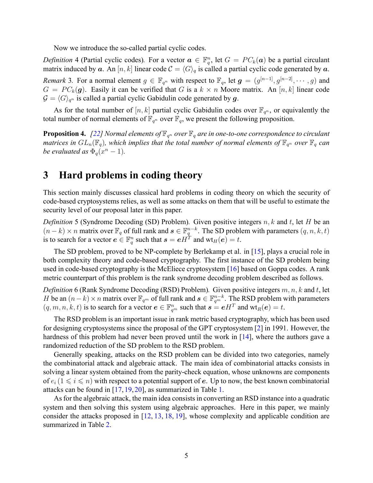Now we introduce the so-called partial cyclic codes.

<span id="page-4-1"></span>*Definition* 4 (Partial cyclic codes). For a vector  $a \in \mathbb{F}_q^n$ , let  $G = PC_k(a)$  be a partial circulant matrix induced by *a*. An [*n, k*] linear code  $C = \langle G \rangle_q$  is called a partial cyclic code generated by *a*. *Remark* 3. For a normal element  $g \in \mathbb{F}_{q^n}$  with respect to  $\mathbb{F}_q$ , let  $g = (g^{[n-1]}, g^{[n-2]}, \dots, g)$  and  $G = PC_k(g)$ . Easily it can be verified that *G* is a  $k \times n$  Moore matrix. An [n, k] linear code  $G = \langle G \rangle_{q^n}$  is called a partial cyclic Gabidulin code generated by g.

As for the total number of  $[n, k]$  partial cyclic Gabidulin codes over  $\mathbb{F}_{q^n}$ , or equivalently the total number of normal elements of  $\mathbb{F}_{q^n}$  over  $\mathbb{F}_q$ , we present the following proposition.

**Proposition 4.** [[22\]](#page-19-4) Normal elements of  $\mathbb{F}_{q^n}$  over  $\mathbb{F}_q$  are in one-to-one correspondence to circulant *matrices in*  $GL_n(\mathbb{F}_q)$ , which implies that the total number of normal elements of  $\mathbb{F}_{q^n}$  over  $\mathbb{F}_q$  can *be evaluated as*  $\Phi_q(x^n - 1)$ *.* 

## <span id="page-4-0"></span>**3 Hard problems in coding theory**

This section mainly discusses classical hard problems in coding theory on which the security of code-based cryptosystems relies, as well as some attacks on them that will be useful to estimate the security level of our proposal later in this paper.

*Definition* 5 (Syndrome Decoding (SD) Problem)*.* Given positive integers *n, k* and *t*, let *H* be an  $(n-k) \times n$  matrix over  $\mathbb{F}_q$  of full rank and  $s \in \mathbb{F}_q^{n-k}$ . The SD problem with parameters  $(q, n, k, t)$ is to search for a vector  $e \in \mathbb{F}_q^n$  such that  $s = eH^T$  and  $wt_H(e) = t$ .

The SD problem, proved to be NP-complete by Berlekamp et al. in [\[15](#page-18-6)], plays a crucial role in both complexity theory and code-based cryptography. The first instance of the SD problem being used in code-based cryptography is the McEliece cryptosystem[[16\]](#page-18-0) based on Goppa codes. A rank metric counterpart of this problem is the rank syndrome decoding problem described as follows.

<span id="page-4-2"></span>*Definition* 6 (Rank Syndrome Decoding (RSD) Problem)*.* Given positive integers *m, n, k* and *t*, let *H* be an  $(n-k) \times n$  matrix over  $\mathbb{F}_{q^m}$  of full rank and  $s \in \mathbb{F}_{q^m}^{n-k}$ . The RSD problem with parameters  $(q, m, n, k, t)$  is to search for a vector  $e \in \mathbb{F}_{q^m}^n$  such that  $s = eH^T$  and  $\text{wt}_R(e) = t$ .

The RSD problem is an important issue in rank metric based cryptography, which has been used for designing cryptosystems since the proposal of the GPT cryptosystem [\[2\]](#page-17-1) in 1991. However, the hardness of this problem had never been proved until the work in [\[14](#page-18-7)], where the authors gave a randomized reduction of the SD problem to the RSD problem.

Generally speaking, attacks on the RSD problem can be divided into two categories, namely the combinatorial attack and algebraic attack. The main idea of combinatorial attacks consists in solving a linear system obtained from the parity-check equation, whose unknowns are components of  $e_i$  ( $1 \leq i \leq n$ ) with respect to a potential support of *e*. Up to now, the best known combinatorial attacks can be found in [\[17](#page-18-8), [19,](#page-18-9) [20\]](#page-18-10), as summarized in Table [1.](#page-5-1)

As for the algebraic attack, the main idea consists in converting an RSD instance into a quadratic system and then solving this system using algebraic approaches. Here in this paper, we mainly consider the attacks proposed in  $[12, 13, 18, 19]$  $[12, 13, 18, 19]$  $[12, 13, 18, 19]$  $[12, 13, 18, 19]$  $[12, 13, 18, 19]$  $[12, 13, 18, 19]$ , whose complexity and applicable condition are summarized in Table [2.](#page-5-2)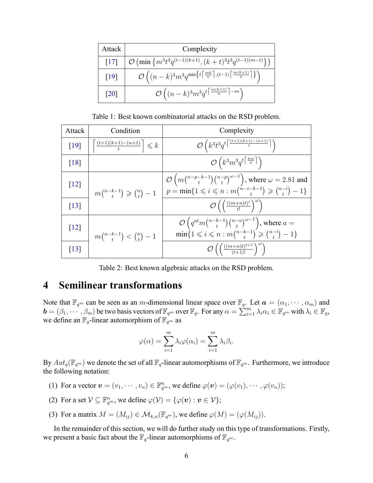<span id="page-5-1"></span>

| Attack             | Complexity                                                                                                                                      |
|--------------------|-------------------------------------------------------------------------------------------------------------------------------------------------|
| $\lceil 17 \rceil$ | $\mathcal{O}\left(\min\left\{m^3t^3q^{(t-1)(k+1)},(k+t)^3t^3q^{(t-1)(m-t)}\right\}\right)$                                                      |
| $\lceil 19 \rceil$ | $\mathcal{O}\left((n-k)^3m^3q^{\min\left\{t\left\lceil \frac{mk}{n}\right\rceil,(t-1)\left\lceil \frac{m(k+1)}{n}\right\rceil \right\}}\right)$ |
| $\lceil 20 \rceil$ | $\mathcal{O}\left((n-k)^3m^3q^{t\left\lceil\frac{m(k+1)}{n}\right\rceil-m}\right)$                                                              |

Table 1: Best known combinatorial attacks on the RSD problem.

<span id="page-5-2"></span>

| Attack             | Condition                                          | Complexity                                                                                                                                                                        |  |  |  |
|--------------------|----------------------------------------------------|-----------------------------------------------------------------------------------------------------------------------------------------------------------------------------------|--|--|--|
| [19]               | $\left  \frac{(t+1)(k+1)-(n+1)}{t} \right  \leq k$ | $\mathcal{O}\left(k^3t^3q^{t\left\lceil \frac{(t+1)(k+1)-(n+1)}{t}\right\rceil }\right)$                                                                                          |  |  |  |
| $\lceil 18 \rceil$ |                                                    | $\mathcal{O}\left(k^3m^3q^t\left \frac{km}{n}\right \right)$                                                                                                                      |  |  |  |
| $[12]$             | $m\binom{n-k-1}{t}\geqslant \binom{n}{t}-1$        | $\mathcal{O}\left(m\binom{n-p-k-1}{t}\binom{n-p}{t}^{\omega-1}\right)$ , where $\omega = 2.81$ and<br>$p = \min\{1 \leq i \leq n : m\binom{n-i-k-1}{t} \geq \binom{n-i}{t} - 1\}$ |  |  |  |
| $\lceil 13 \rceil$ |                                                    | $\mathcal{O}\left(\left(\frac{((m+n)t)^t}{t!}\right)^{\omega}\right)$                                                                                                             |  |  |  |
| $[12]$             | $m\binom{n-k-1}{t} < \binom{n}{t} - 1$             | $\mathcal{O}\left(q^{at}m\binom{n-k-1}{t}\binom{n-a}{t}^{\omega-1}\right)$ , where $a=$<br>$\min\{1 \leq i \leq n : m\binom{n-k-1}{t} \geq \binom{n-i}{t} - 1\}$                  |  |  |  |
| $\lceil 13 \rceil$ |                                                    | $\mathcal{O}\left(\left(\frac{((m+n)t)^{t+1}}{(t+1)!}\right)^{\infty}\right)$                                                                                                     |  |  |  |

Table 2: Best known algebraic attacks on the RSD problem.

## <span id="page-5-0"></span>**4 Semilinear transformations**

Note that  $\mathbb{F}_{q^m}$  can be seen as an *m*-dimensional linear space over  $\mathbb{F}_q$ . Let  $\mathbf{a} = (\alpha_1, \dots, \alpha_m)$  and  $\mathbf{b} = (\beta_1, \dots, \beta_m)$  be two basis vectors of  $\mathbb{F}_{q^m}$  over  $\mathbb{F}_q$ . For any  $\alpha = \sum_{i=1}^m \lambda_i \alpha_i \in \mathbb{F}_{q^m}$  with  $\lambda_i \in \mathbb{F}_q$ , we define an  $\mathbb{F}_q$ -linear automorphism of  $\mathbb{F}_{q^m}$  as

$$
\varphi(\alpha) = \sum_{i=1}^{m} \lambda_i \varphi(\alpha_i) = \sum_{i=1}^{m} \lambda_i \beta_i.
$$

By  $Aut_q(\mathbb{F}_{q^m})$  we denote the set of all  $\mathbb{F}_q$ -linear automorphisms of  $\mathbb{F}_{q^m}$ . Furthermore, we introduce the following notation:

- (1) For a vector  $\mathbf{v} = (v_1, \dots, v_n) \in \mathbb{F}_{q^m}^n$ , we define  $\varphi(\mathbf{v}) = (\varphi(v_1), \dots, \varphi(v_n));$
- (2) For a set  $\mathcal{V} \subseteq \mathbb{F}_{q^m}^n$ , we define  $\varphi(\mathcal{V}) = \{\varphi(\boldsymbol{v}) : \boldsymbol{v} \in \mathcal{V}\};$
- (3) For a matrix  $M = (M_{ij}) \in \mathcal{M}_{k,n}(\mathbb{F}_{q^m})$ , we define  $\varphi(M) = (\varphi(M_{ij}))$ .

In the remainder of this section, we will do further study on this type of transformations. Firstly, we present a basic fact about the  $\mathbb{F}_q$ -linear automorphisms of  $\mathbb{F}_{q^m}$ .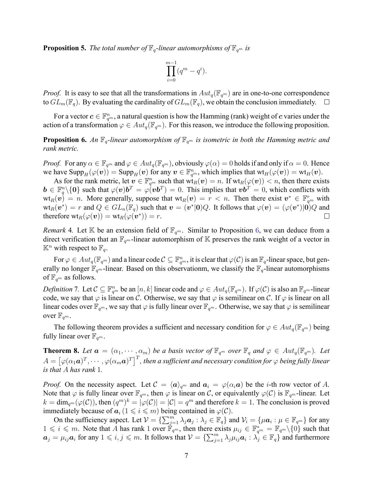<span id="page-6-2"></span>**Proposition 5.** *The total number of*  $\mathbb{F}_q$ -linear automorphisms of  $\mathbb{F}_{q^m}$  is

$$
\prod_{i=0}^{m-1} (q^m - q^i).
$$

*Proof.* It is easy to see that all the transformations in  $Aut_q(\mathbb{F}_{q^m})$  are in one-to-one correspondence to  $GL_m(\mathbb{F}_q)$ . By evaluating the cardinality of  $GL_m(\mathbb{F}_q)$ , we obtain the conclusion immediately.  $\Box$ 

For a vector  $\bm{c} \in \mathbb{F}_{q^m}^n$ , a natural question is how the Hamming (rank) weight of  $\bm{c}$  varies under the action of a transformation  $\varphi \in Aut_q(\mathbb{F}_{q^m})$ . For this reason, we introduce the following proposition.

<span id="page-6-0"></span>**Proposition 6.** An  $\mathbb{F}_q$ -linear automorphism of  $\mathbb{F}_{q^m}$  is isometric in both the Hamming metric and *rank metric.*

*Proof.* For any  $\alpha \in \mathbb{F}_{q^m}$  and  $\varphi \in Aut_q(\mathbb{F}_{q^m})$ , obviously  $\varphi(\alpha) = 0$  holds if and only if  $\alpha = 0$ . Hence we have  $\text{Supp}_H(\varphi(\boldsymbol{v})) = \text{Supp}_H(\boldsymbol{v})$  for any  $\boldsymbol{v} \in \mathbb{F}_{q^m}^n$ , which implies that  $\text{wt}_H(\varphi(\boldsymbol{v})) = \text{wt}_H(\boldsymbol{v})$ .

As for the rank metric, let  $v \in \mathbb{F}_{q^m}^n$  such that  $\text{wt}_R(v) = n$ . If  $\text{wt}_R(\varphi(v)) < n$ , then there exists  $\mathbf{b} \in \mathbb{F}_q^n \setminus \{0\}$  such that  $\varphi(\mathbf{v})\mathbf{b}^T = \varphi(\mathbf{v}\mathbf{b}^T) = 0$ . This implies that  $\mathbf{v}\mathbf{b}^T = 0$ , which conflicts with  $\text{wt}_R(\bm{v}) = n$ . More generally, suppose that  $\text{wt}_R(\bm{v}) = r \lt n$ . Then there exist  $\bm{v}^* \in \mathbb{F}_{q^m}^r$  with  $\mathrm{wt}_R(\bm{v}^*)=r$  and  $Q\in GL_n(\mathbb{F}_q)$  such that  $\bm{v}=(\bm{v}^*|\bm{0})Q.$  It follows that  $\varphi(\bm{v})=(\varphi(\bm{v}^*)|\bm{0})Q$  and  $\text{therefore wt}_R(\varphi(\boldsymbol{v})) = \text{wt}_R(\varphi(\boldsymbol{v}^*)) = r.$  $\Box$ 

*Remark* 4. Let K be an extension field of  $\mathbb{F}_{q^m}$ . Similar to Proposition [6](#page-6-0), we can deduce from a direct verification that an  $\mathbb{F}_{q^m}$ -linear automorphism of K preserves the rank weight of a vector in  $\mathbb{K}^n$  with respect to  $\mathbb{F}_q$ .

 $\text{For } \varphi \in Aut_q(\mathbb{F}_{q^m})$  and a linear code  $\mathcal{C} \subseteq \mathbb{F}_{q^m}^n$ , it is clear that  $\varphi(\mathcal{C})$  is an  $\mathbb{F}_q$ -linear space, but generally no longer  $\mathbb{F}_{q^m}$ -linear. Based on this observationm, we classify the  $\mathbb{F}_q$ -linear automorphisms of  $\mathbb{F}_{q^m}$  as follows.

*Definition* 7. Let  $C \subseteq \mathbb{F}_{q^m}^n$  be an  $[n,k]$  linear code and  $\varphi \in Aut_q(\mathbb{F}_{q^m})$ . If  $\varphi(C)$  is also an  $\mathbb{F}_{q^m}$ -linear code, we say that  $\varphi$  is linear on *C*. Otherwise, we say that  $\varphi$  is semilinear on *C*. If  $\varphi$  is linear on all linear codes over  $\mathbb{F}_{q^m}$ , we say that  $\varphi$  is fully linear over  $\mathbb{F}_{q^m}$ . Otherwise, we say that  $\varphi$  is semilinear over  $\mathbb{F}_{q^m}$ .

The following theorem provides a sufficient and necessary condition for  $\varphi \in Aut_q(\mathbb{F}_{q^m})$  being fully linear over  $\mathbb{F}_{q^m}$ .

<span id="page-6-1"></span>**Theorem 8.** Let  $a = (\alpha_1, \dots, \alpha_m)$  be a basis vector of  $\mathbb{F}_{q^m}$  over  $\mathbb{F}_q$  and  $\varphi \in Aut_q(\mathbb{F}_{q^m})$ . Let  $A = [\varphi(\alpha_1 \bm{a})^T, \cdots, \varphi(\alpha_m \bm{a})^T]^T$ , then a sufficient and necessary condition for  $\varphi$  being fully linear *is that A has rank* 1*.*

*Proof.* On the necessity aspect. Let  $C = \langle a \rangle_{q^m}$  and  $a_i = \varphi(\alpha_i a)$  be the *i*-th row vector of A. Note that  $\varphi$  is fully linear over  $\mathbb{F}_{q^m}$ , then  $\varphi$  is linear on *C*, or equivalently  $\varphi(\mathcal{C})$  is  $\mathbb{F}_{q^m}$ -linear. Let  $k = \dim_{q^m}(\varphi(\mathcal{C}))$ , then  $(q^m)^k = |\varphi(\mathcal{C})| = |\mathcal{C}| = q^m$  and therefore  $k = 1$ . The conclusion is proved immediately because of  $a_i$  ( $1 \leq i \leq m$ ) being contained in  $\varphi(\mathcal{C})$ .

On the sufficiency aspect. Let  $\mathcal{V} = \{\sum_{j=1}^{m} \lambda_j \mathbf{a}_j : \lambda_j \in \mathbb{F}_q\}$  and  $\mathcal{V}_i = \{\mu \mathbf{a}_i : \mu \in \mathbb{F}_{q^m}\}\$  for any  $1 \le i \le m$ . Note that *A* has rank 1 over  $\mathbb{F}_{q^m}$ , then there exists  $\mu_{ij} \in \mathbb{F}_{q^m}^* = \mathbb{F}_{q^m} \setminus \{0\}$  such that  $a_j = \mu_{ij} a_i$  for any  $1 \leq i, j \leq m$ . It follows that  $\mathcal{V} = {\sum_{j=1}^m \lambda_j \mu_{ij} a_i : \lambda_j \in \mathbb{F}_q}$  and furthermore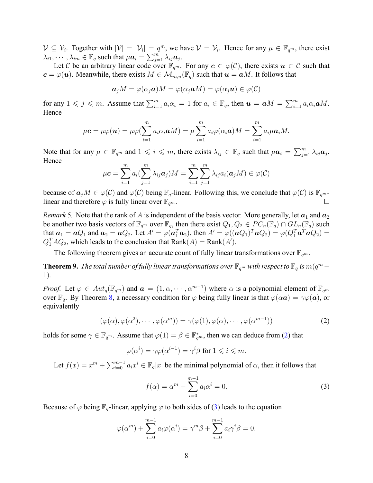$\mathcal{V} \subseteq \mathcal{V}_i$ . Together with  $|\mathcal{V}| = |\mathcal{V}_i| = q^m$ , we have  $\mathcal{V} = \mathcal{V}_i$ . Hence for any  $\mu \in \mathbb{F}_{q^m}$ , there exist  $\lambda_{i1}, \dots, \lambda_{im} \in \mathbb{F}_q$  such that  $\mu a_i = \sum_{j=1}^m \lambda_{ij} a_j$ .

Let C be an arbitrary linear code over  $\mathbb{F}_{q^m}$ . For any  $c \in \varphi(\mathcal{C})$ , there exists  $u \in \mathcal{C}$  such that  $c = \varphi(\boldsymbol{u})$ . Meanwhile, there exists  $M \in \mathcal{M}_{m,n}(\mathbb{F}_q)$  such that  $\boldsymbol{u} = \boldsymbol{a}M$ . It follows that

$$
\mathbf{a}_j M = \varphi(\alpha_j \mathbf{a}) M = \varphi(\alpha_j \mathbf{a} M) = \varphi(\alpha_j \mathbf{u}) \in \varphi(\mathcal{C})
$$

for any  $1 \leq j \leq m$ . Assume that  $\sum_{i=1}^{m} a_i \alpha_i = 1$  for  $a_i \in \mathbb{F}_q$ , then  $\mathbf{u} = \mathbf{a}M = \sum_{i=1}^{m} a_i \alpha_i \mathbf{a}M$ . Hence

$$
\mu \mathbf{c} = \mu \varphi(\mathbf{u}) = \mu \varphi(\sum_{i=1}^m a_i \alpha_i \mathbf{a} M) = \mu \sum_{i=1}^m a_i \varphi(\alpha_i \mathbf{a}) M = \sum_{i=1}^m a_i \mu \mathbf{a}_i M.
$$

Note that for any  $\mu \in \mathbb{F}_{q^m}$  and  $1 \leqslant i \leqslant m$ , there exists  $\lambda_{ij} \in \mathbb{F}_q$  such that  $\mu \mathbf{a}_i = \sum_{j=1}^m \lambda_{ij} \mathbf{a}_j$ . Hence

$$
\mu \mathbf{c} = \sum_{i=1}^{m} a_i \left( \sum_{j=1}^{m} \lambda_{ij} \mathbf{a}_j \right) M = \sum_{i=1}^{m} \sum_{j=1}^{m} \lambda_{ij} a_i (\mathbf{a}_j M) \in \varphi(\mathcal{C})
$$

because of  $a_jM \in \varphi(C)$  and  $\varphi(C)$  being  $\mathbb{F}_q$ -linear. Following this, we conclude that  $\varphi(C)$  is  $\mathbb{F}_{q^m}$ linear and therefore  $\varphi$  is fully linear over  $\mathbb{F}_{q^m}$ .

*Remark* 5. Note that the rank of A is independent of the basis vector. More generally, let  $a_1$  and  $a_2$ be another two basis vectors of  $\mathbb{F}_{q^m}$  over  $\mathbb{F}_q$ , then there exist  $Q_1, Q_2 \in PC_n(\mathbb{F}_q) \cap GL_n(\mathbb{F}_q)$  such that  $a_1 = aQ_1$  and  $a_2 = aQ_2$ . Let  $A' = \varphi(a_1^T a_2)$ , then  $A' = \varphi((aQ_1)^T a Q_2) = \varphi(Q_1^T a^T a Q_2) =$  $Q_1^T A Q_2$ , which leads to the conclusion that  $\text{Rank}(A) = \text{Rank}(A')$ .

The following theorem gives an accurate count of fully linear transformations over  $\mathbb{F}_{q^m}$ .

<span id="page-7-2"></span>**Theorem 9.** The total number of fully linear transformations over  $\mathbb{F}_{q^m}$  with respect to  $\mathbb{F}_q$  is  $m(q^m - 1)$ 1)*.*

*Proof.* Let  $\varphi \in Aut_q(\mathbb{F}_{q^m})$  and  $\boldsymbol{a} = (1, \alpha, \dots, \alpha^{m-1})$  where  $\alpha$  is a polynomial element of  $\mathbb{F}_{q^m}$ over  $\mathbb{F}_q$ . By Theorem [8,](#page-6-1) a necessary condition for  $\varphi$  being fully linear is that  $\varphi(\alpha a) = \gamma \varphi(a)$ , or equivalently

$$
(\varphi(\alpha), \varphi(\alpha^2), \cdots, \varphi(\alpha^m)) = \gamma(\varphi(1), \varphi(\alpha), \cdots, \varphi(\alpha^{m-1}))
$$
\n(2)

holdsfor some  $\gamma \in \mathbb{F}_{q^m}.$  Assume that  $\varphi(1) = \beta \in \mathbb{F}_{q^m}^*$ , then we can deduce from ([2\)](#page-7-0) that

$$
\varphi(\alpha^i) = \gamma \varphi(\alpha^{i-1}) = \gamma^i \beta \text{ for } 1 \leqslant i \leqslant m.
$$

Let  $f(x) = x^m + \sum_{i=0}^{m-1} a_i x^i \in \mathbb{F}_q[x]$  be the minimal polynomial of  $\alpha$ , then it follows that

<span id="page-7-1"></span><span id="page-7-0"></span>
$$
f(\alpha) = \alpha^m + \sum_{i=0}^{m-1} a_i \alpha^i = 0.
$$
 (3)

Because of  $\varphi$  being  $\mathbb{F}_q$ -linear, applying  $\varphi$  to both sides of [\(3](#page-7-1)) leads to the equation

$$
\varphi(\alpha^m) + \sum_{i=0}^{m-1} a_i \varphi(\alpha^i) = \gamma^m \beta + \sum_{i=0}^{m-1} a_i \gamma^i \beta = 0.
$$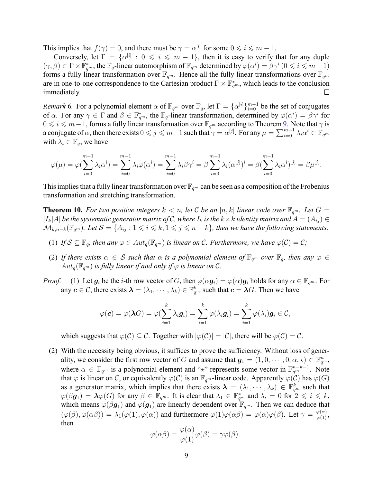This implies that  $f(\gamma) = 0$ , and there must be  $\gamma = \alpha^{[i]}$  for some  $0 \leqslant i \leqslant m - 1$ .

Conversely, let  $\Gamma = \{ \alpha^{[i]} : 0 \leq i \leq m-1 \}$ , then it is easy to verify that for any duple  $(\gamma, \beta) \in \Gamma \times \mathbb{F}_{q^m}^*$ , the  $\mathbb{F}_q$ -linear automorphism of  $\mathbb{F}_{q^m}$  determined by  $\varphi(\alpha^i) = \beta \gamma^i \ (0 \leq i \leq m-1)$ forms a fully linear transformation over  $\mathbb{F}_{q^m}$ . Hence all the fully linear transformations over  $\mathbb{F}_{q^m}$ are in one-to-one correspondence to the Cartesian product  $\Gamma \times \mathbb{F}_{q^m}^*$ , which leads to the conclusion immediately.  $\Box$ 

<span id="page-8-1"></span>*Remark* 6. For a polynomial element  $\alpha$  of  $\mathbb{F}_{q^m}$  over  $\mathbb{F}_q$ , let  $\Gamma = \{\alpha^{[i]}\}_{i=0}^{m-1}$  be the set of conjugates of  $\alpha$ . For any  $\gamma \in \Gamma$  and  $\beta \in \mathbb{F}_{q^m}^*$ , the  $\mathbb{F}_q$ -linear transformation, determined by  $\varphi(\alpha^i) = \beta \gamma^i$  for  $0 \leq i \leq m-1$ , forms a fully linear transformation over  $\mathbb{F}_{q^m}$  according to Theorem [9.](#page-7-2) Note that  $\gamma$  is a conjugate of  $\alpha$ , then there exists  $0\leqslant j\leqslant m-1$  such that  $\gamma=\alpha^{[j]}$ . For any  $\mu=\sum_{i=0}^{m-1}\lambda_i\alpha^i\in\mathbb{F}_{q^m}$ with  $\lambda_i \in \mathbb{F}_q$ , we have

$$
\varphi(\mu) = \varphi(\sum_{i=0}^{m-1} \lambda_i \alpha^i) = \sum_{i=0}^{m-1} \lambda_i \varphi(\alpha^i) = \sum_{i=0}^{m-1} \lambda_i \beta \gamma^i = \beta \sum_{i=0}^{m-1} \lambda_i (\alpha^{[j]})^i = \beta (\sum_{i=0}^{m-1} \lambda_i \alpha^i)^{[j]} = \beta \mu^{[j]}.
$$

This implies that a fully linear transformation over  $\mathbb{F}_{q^m}$  can be seen as a composition of the Frobenius transformation and stretching transformation.

<span id="page-8-0"></span>**Theorem 10.** For two positive integers  $k < n$ , let C be an  $[n, k]$  linear code over  $\mathbb{F}_{q^m}$ . Let  $G =$  $[I_k|A]$  be the systematic generator matrix of C, where  $I_k$  is the  $k \times k$  identity matrix and  $A = (A_{ij}) \in$  $\mathcal{M}_{k,n-k}(\mathbb{F}_{q^m})$ . Let  $\mathcal{S} = \{A_{ij} : 1 \leq i \leq k, 1 \leq j \leq n-k\}$ , then we have the following statements.

- (1) *If*  $S \subseteq \mathbb{F}_q$ *, then any*  $\varphi \in Aut_q(\mathbb{F}_{q^m})$  *is linear on*  $C$ *. Furthermore, we have*  $\varphi(C) = C$ *;*
- (2) If there exists  $\alpha \in S$  such that  $\alpha$  is a polynomial element of  $\mathbb{F}_{q^m}$  over  $\mathbb{F}_q$ , then any  $\varphi \in S$  $Aut_q(\mathbb{F}_{q^m})$  *is fully linear if and only if*  $\varphi$  *is linear on*  $\mathcal{C}$ *.*
- *Proof.* (1) Let  $g_i$  be the *i*-th row vector of *G*, then  $\varphi(\alpha g_i) = \varphi(\alpha)g_i$  holds for any  $\alpha \in \mathbb{F}_{q^m}$ . For any  $c \in C$ , there exists  $\bm{\lambda} = (\lambda_1, \cdots, \lambda_k) \in \mathbb{F}_{q^m}^k$  such that  $c = \bm{\lambda} G$ . Then we have

$$
\varphi(\boldsymbol{c}) = \varphi(\boldsymbol{\lambda}G) = \varphi(\sum_{i=1}^k \lambda_i \boldsymbol{g}_i) = \sum_{i=1}^k \varphi(\lambda_i \boldsymbol{g}_i) = \sum_{i=1}^k \varphi(\lambda_i) \boldsymbol{g}_i \in \mathcal{C},
$$

which suggests that  $\varphi(\mathcal{C}) \subseteq \mathcal{C}$ . Together with  $|\varphi(\mathcal{C})| = |\mathcal{C}|$ , there will be  $\varphi(\mathcal{C}) = \mathcal{C}$ .

(2) With the necessity being obvious, it suffices to prove the sufficiency. Without loss of generality, we consider the first row vector of *G* and assume that  $g_1 = (1, 0, \dots, 0, \alpha, \star) \in \mathbb{F}_{q^m}^n$ , where  $\alpha \in \mathbb{F}_{q^m}$  is a polynomial element and "<sup>\*</sup><sub>*\**</sub>" represents some vector in  $\mathbb{F}_{q^m}^{n-k-1}$ . Note that  $\varphi$  is linear on *C*, or equivalently  $\varphi(C)$  is an  $\mathbb{F}_{q^m}$ -linear code. Apparently  $\varphi(C)$  has  $\varphi(G)$ as a generator matrix, which implies that there exists  $\lambda = (\lambda_1, \dots, \lambda_k) \in \mathbb{F}_{q^m}^k$  such that  $\varphi(\beta g_1) = \lambda \varphi(G)$  for any  $\beta \in \mathbb{F}_{q^m}$ . It is clear that  $\lambda_1 \in \mathbb{F}_{q^m}^*$  and  $\lambda_i = 0$  for  $2 \leqslant i \leqslant k$ , which means  $\varphi(\beta g_1)$  and  $\varphi(g_1)$  are linearly dependent over  $\mathbb{F}_{q^m}$ . Then we can deduce that  $(\varphi(\beta), \varphi(\alpha\beta)) = \lambda_1(\varphi(1), \varphi(\alpha))$  and furthermore  $\varphi(1)\varphi(\alpha\beta) = \varphi(\alpha)\varphi(\beta)$ . Let  $\gamma = \frac{\varphi(\alpha)}{\varphi(1)}$ , then

$$
\varphi(\alpha\beta) = \frac{\varphi(\alpha)}{\varphi(1)}\varphi(\beta) = \gamma\varphi(\beta).
$$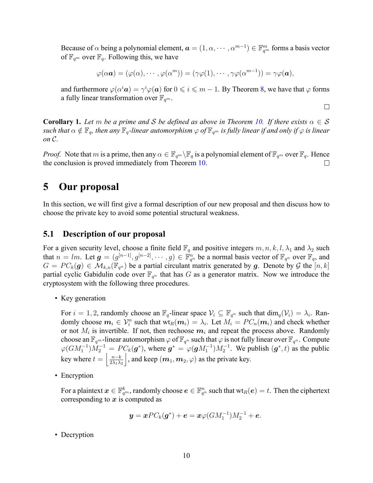Because of  $\alpha$  being a polynomial element,  $\bm{a}=(1,\alpha,\cdots,\alpha^{m-1})\in\mathbb{F}_{q^m}^m$  forms a basis vector of  $\mathbb{F}_{q^m}$  over  $\mathbb{F}_q$ . Following this, we have

$$
\varphi(\alpha \mathbf{a}) = (\varphi(\alpha), \cdots, \varphi(\alpha^m)) = (\gamma \varphi(1), \cdots, \gamma \varphi(\alpha^{m-1})) = \gamma \varphi(\mathbf{a}),
$$

and furthermore  $\varphi(\alpha^i\bm{a})=\gamma^i\varphi(\bm{a})$  for  $0\leqslant i\leqslant m-1.$  By Theorem [8,](#page-6-1) we have that  $\varphi$  forms a fully linear transformation over  $\mathbb{F}_{q^m}$ .

 $\Box$ 

**Corollary 1.** Let *m* be a prime and S be defined as above in Theorem [10.](#page-8-0) If there exists  $\alpha \in S$ *such that*  $\alpha \notin \mathbb{F}_q$ , then any  $\mathbb{F}_q$ -linear automorphism  $\varphi$  of  $\mathbb{F}_{q^m}$  *is fully linear if and only if*  $\varphi$  *is linear on C.*

*Proof.* Note that *m* is a prime, then any  $\alpha \in \mathbb{F}_{q^m} \setminus \mathbb{F}_q$  is a polynomial element of  $\mathbb{F}_{q^m}$  over  $\mathbb{F}_q$ . Hence the conclusion is proved immediately from Theorem [10](#page-8-0).  $\Box$ 

## <span id="page-9-0"></span>**5 Our proposal**

In this section, we will first give a formal description of our new proposal and then discuss how to choose the private key to avoid some potential structural weakness.

### **5.1 Description of our proposal**

For a given security level, choose a finite field  $\mathbb{F}_q$  and positive integers  $m, n, k, l, \lambda_1$  and  $\lambda_2$  such that  $n = lm$ . Let  $g = (g^{[n-1]}, g^{[n-2]}, \dots, g) \in \mathbb{F}_{q^n}^n$  be a normal basis vector of  $\mathbb{F}_{q^n}$  over  $\mathbb{F}_q$ , and  $G = PC_k(\mathbf{g}) \in \mathcal{M}_{k,n}(\mathbb{F}_{q^n})$  be a partial circulant matrix generated by *g*. Denote by *G* the  $[n, k]$ partial cyclic Gabidulin code over  $\mathbb{F}_{q^n}$  that has *G* as a generator matrix. Now we introduce the cryptosystem with the following three procedures.

• Key generation

For  $i = 1, 2$ , randomly choose an  $\mathbb{F}_q$ -linear space  $\mathcal{V}_i \subseteq \mathbb{F}_{q^n}$  such that  $\dim_q(\mathcal{V}_i) = \lambda_i$ . Randomly choose  $m_i \in \mathcal{V}_i^n$  such that  $\text{wt}_R(m_i) = \lambda_i$ . Let  $M_i = PC_n(m_i)$  and check whether or not  $M_i$  is invertible. If not, then rechoose  $m_i$  and repeat the process above. Randomly choose an  $\mathbb{F}_{q^m}$ -linear automorphism  $\varphi$  of  $\mathbb{F}_{q^n}$  such that  $\varphi$  is not fully linear over  $\mathbb{F}_{q^n}$ . Compute  $\varphi(GM_1^{-1})M_2^{-1} = PC_k(\mathbf{g}^*)$ , where  $\mathbf{g}^* = \varphi(\mathbf{g}M_1^{-1})M_2^{-1}$ . We publish  $(\mathbf{g}^*, t)$  as the public  $\left| \frac{n-k}{2\lambda_1 \lambda_2} \right|$  $\vert$ , and keep  $(m_1, m_2, \varphi)$  as the private key.

• Encryption

For a plaintext  $\bm{x}\in \mathbb{F}_{q^m}^k$ , randomly choose  $\bm{e}\in \mathbb{F}_{q^n}^n$  such that  $\text{wt}_R(\bm{e})=t.$  Then the ciphertext corresponding to *x* is computed as

$$
y = xPC_k(g^*) + e = x\varphi(GM_1^{-1})M_2^{-1} + e.
$$

• Decryption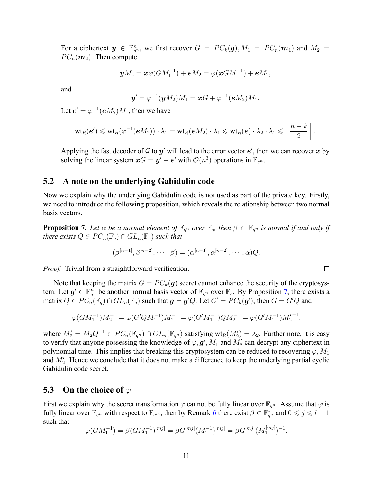For a ciphertext  $y \in \mathbb{F}_{q^n}^n$ , we first recover  $G = PC_k(g), M_1 = PC_n(m_1)$  and  $M_2 =$  $PC_n(m_2)$ . Then compute

$$
yM_2 = x\varphi(GM_1^{-1}) + eM_2 = \varphi(xGM_1^{-1}) + eM_2,
$$

and

$$
\boldsymbol{y}'=\varphi^{-1}(\boldsymbol{y}M_2)M_1=\boldsymbol{x}G+\varphi^{-1}(\boldsymbol{e}M_2)M_1.
$$

Let  $e' = \varphi^{-1}(eM_2)M_1$ , then we have

$$
\text{wt}_R(\boldsymbol{e}')\leqslant \text{wt}_R(\varphi^{-1}(\boldsymbol{e} M_2))\cdot \lambda_1=\text{wt}_R(\boldsymbol{e} M_2)\cdot \lambda_1\leqslant \text{wt}_R(\boldsymbol{e})\cdot \lambda_2\cdot \lambda_1\leqslant \left\lfloor \frac{n-k}{2}\right\rfloor.
$$

Applying the fast decoder of  ${\mathcal G}$  to  ${\mathcal y}'$  will lead to the error vector  $e'$ , then we can recover  $x$  by solving the linear system  $xG = y' - e'$  with  $\mathcal{O}(n^3)$  operations in  $\mathbb{F}_{q^n}$ .

### **5.2 A note on the underlying Gabidulin code**

Now we explain why the underlying Gabidulin code is not used as part of the private key. Firstly, we need to introduce the following proposition, which reveals the relationship between two normal basis vectors.

<span id="page-10-0"></span>**Proposition 7.** Let  $\alpha$  be a normal element of  $\mathbb{F}_{q^n}$  over  $\mathbb{F}_q$ , then  $\beta \in \mathbb{F}_{q^n}$  is normal if and only if *there exists*  $Q \in PC_n(\mathbb{F}_q) \cap GL_n(\mathbb{F}_q)$  *such that* 

$$
(\beta^{[n-1]}, \beta^{[n-2]}, \cdots, \beta) = (\alpha^{[n-1]}, \alpha^{[n-2]}, \cdots, \alpha)Q.
$$

*Proof.* Trivial from a straightforward verification.

Note that keeping the matrix  $G = PC_k(\boldsymbol{g})$  secret cannot enhance the security of the cryptosystem. Let  $g' \in \mathbb{F}_{q^n}^n$  be another normal basis vector of  $\mathbb{F}_{q^n}$  over  $\mathbb{F}_q$ . By Proposition [7,](#page-10-0) there exists a matrix  $Q\in PC_n(\mathbb{F}_q)\cap GL_n(\mathbb{F}_q)$  such that  $\bm{g}=\bm{g}'Q.$  Let  $G'=PC_k(\bm{g}'),$  then  $G=G'Q$  and

$$
\varphi(GM_1^{-1})M_2^{-1} = \varphi(G'QM_1^{-1})M_2^{-1} = \varphi(G'M_1^{-1})QM_2^{-1} = \varphi(G'M_1^{-1})M_2'^{-1},
$$

where  $M'_2 = M_2 Q^{-1} \in PC_n(\mathbb{F}_{q^n}) \cap GL_n(\mathbb{F}_{q^n})$  satisfying  $wt_R(M'_2) = \lambda_2$ . Furthermore, it is easy to verify that anyone possessing the knowledge of  $\varphi, \mathbf{g}', M_1$  and  $M'_2$  can decrypt any ciphertext in polynomial time. This implies that breaking this cryptosystem can be reduced to recovering  $\varphi$ ,  $M_1$ and *M′* 2 . Hence we conclude that it does not make a difference to keep the underlying partial cyclic Gabidulin code secret.

#### **5.3 On the choice of** *φ*

First we explain why the secret transformation  $\varphi$  cannot be fully linear over  $\mathbb{F}_{q^n}$ . Assume that  $\varphi$  is fully linear over  $\mathbb{F}_{q^n}$  with respect to  $\mathbb{F}_{q^m}$ , then by Remark [6](#page-8-1) there exist  $\beta \in \mathbb{F}_{q^n}^*$  and  $0 \leqslant j \leqslant l-1$ such that

$$
\varphi(GM_{1}^{-1})=\beta(GM_{1}^{-1})^{[mj]}=\beta G^{[mj]}(M_{1}^{-1})^{[mj]}=\beta G^{[mj]}(M_{1}^{[mj]})^{-1}
$$

 $\Box$ 

*.*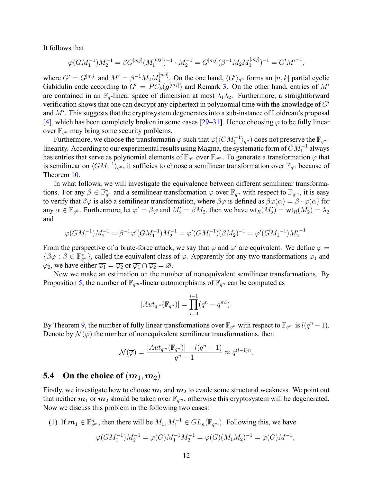It follows that

$$
\varphi(GM_1^{-1})M_2^{-1} = \beta G^{[mj]}(M_1^{[mj]})^{-1} \cdot M_2^{-1} = G^{[mj]}(\beta^{-1}M_2M_1^{[mj]})^{-1} = G'M'^{-1},
$$

where  $G' = G^{[mj]}$  and  $M' = \beta^{-1} M_2 M_1^{[mj]}$  $\binom{[m]}{1}$ . On the one hand,  $\langle G' \rangle_{q^n}$  forms an  $[n, k]$  partial cyclic Gabidulin code according to  $G' = PC_k(\boldsymbol{g}^{[mj]})$  and Remark [3.](#page-4-1) On the other hand, entries of  $M'$ are contained in an  $\mathbb{F}_q$ -linear space of dimension at most  $\lambda_1 \lambda_2$ . Furthermore, a straightforward verification shows that one can decrypt any ciphertext in polynomial time with the knowledge of *G′* and *M′* . This suggests that the cryptosystem degenerates into a sub-instance of Loidreau's proposal [[4\]](#page-17-4), which has been completely broken in some cases [\[29](#page-19-1)[–31](#page-19-5)]. Hence choosing *φ* to be fully linear over  $\mathbb{F}_{q^n}$  may bring some security problems.

Furthermore, we choose the transformatin  $\varphi$  such that  $\varphi(\langle GM_1^{-1}\rangle_{q^n})$  does not preserve the  $\mathbb{F}_{q^n}$ linearity. According to our experimental results using Magma, the systematic form of *GM−*<sup>1</sup> 1 always has entries that serve as polynomial elements of  $\mathbb{F}_{q^n}$  over  $\mathbb{F}_{q^m}$ . To generate a transformation  $\varphi$  that is semilinear on  $\langle GM_1^{-1} \rangle_{q^n}$ , it sufficies to choose a semilinear transformation over  $\mathbb{F}_{q^n}$  because of Theorem [10.](#page-8-0)

In what follows, we will investigate the equivalence between different semilinear transformations. For any  $\beta \in \mathbb{F}_{q^n}^*$  and a semilinear transformation  $\varphi$  over  $\mathbb{F}_{q^n}$  with respect to  $\mathbb{F}_{q^m}$ , it is easy to verify that  $\beta\varphi$  is also a semilinear transformation, where  $\beta\varphi$  is defined as  $\beta\varphi(\alpha) = \beta \cdot \varphi(\alpha)$  for any  $\alpha \in \mathbb{F}_{q^n}$ . Furthermore, let  $\varphi' = \beta \varphi$  and  $M'_2 = \beta M_2$ , then we have  $\text{wt}_R(M'_2) = \text{wt}_R(M_2) = \lambda_2$ and

$$
\varphi(GM_1^{-1})M_2^{-1} = \beta^{-1}\varphi'(GM_1^{-1})M_2^{-1} = \varphi'(GM_1^{-1})(\beta M_2)^{-1} = \varphi'(GM_1^{-1})M_2'^{-1}.
$$

From the perspective of a brute-force attack, we say that  $\varphi$  and  $\varphi'$  are equivalent. We define  $\overline{\varphi} =$  $\{\beta \varphi : \beta \in \mathbb{F}_{q^n}^*\}$ , called the equivalent class of  $\varphi$ . Apparently for any two transformations  $\varphi_1$  and  $\varphi_2$ , we have either  $\overline{\varphi_1} = \overline{\varphi_2}$  or  $\overline{\varphi_1} \cap \overline{\varphi_2} = \emptyset$ .

Now we make an estimation on the number of nonequivalent semilinear transformations. By Proposition [5,](#page-6-2) the number of  $\mathbb{F}_{q^m}$ -linear automorphisms of  $\mathbb{F}_{q^n}$  can be computed as

$$
|Aut_{q^m}(\mathbb{F}_{q^n})| = \prod_{i=0}^{l-1} (q^n - q^{mi}).
$$

By Theorem [9](#page-7-2), the number of fully linear transformations over  $\mathbb{F}_{q^n}$  with respect to  $\mathbb{F}_{q^m}$  is  $l(q^n-1)$ . Denote by  $\mathcal{N}(\overline{\varphi})$  the number of nonequivalent semilinear transformations, then

$$
\mathcal{N}(\overline{\varphi}) = \frac{|Aut_{q^m}(\mathbb{F}_{q^n})| - l(q^n - 1)}{q^n - 1} \approx q^{(l-1)n}.
$$

### **5.4** On the choice of  $(m_1, m_2)$

Firstly, we investigate how to choose  $m_1$  and  $m_2$  to evade some structural weakness. We point out that neither  $m_1$  or  $m_2$  should be taken over  $\mathbb{F}_{q^m}$ , otherwise this cryptosystem will be degenerated. Now we discuss this problem in the following two cases:

(1) If  $m_1 \in \mathbb{F}_{q^m}^n$ , then there will be  $M_1, M_1^{-1} \in GL_n(\mathbb{F}_{q^m})$ . Following this, we have

$$
\varphi(GM_1^{-1})M_2^{-1} = \varphi(G)M_1^{-1}M_2^{-1} = \varphi(G)(M_1M_2)^{-1} = \varphi(G)M^{-1},
$$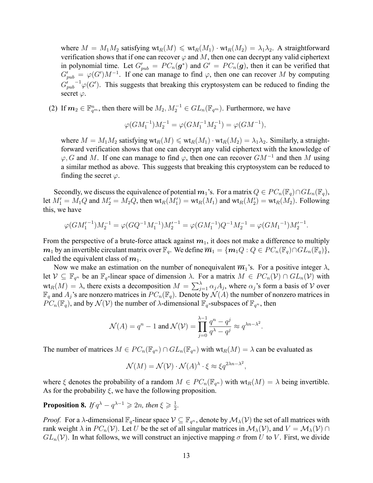where  $M = M_1 M_2$  satisfying  $\text{wt}_R(M) \leq \text{wt}_R(M_1) \cdot \text{wt}_R(M_2) = \lambda_1 \lambda_2$ . A straightforward verification shows that if one can recover  $\varphi$  and M, then one can decrypt any valid ciphertext in polynomial time. Let  $G'_{pub} = PC_n(g^*)$  and  $G' = PC_n(g)$ , then it can be verified that  $G'_{pub} = \varphi(G')M^{-1}$ . If one can manage to find  $\varphi$ , then one can recover *M* by computing  $G'_{pub}^{-1}\varphi(G')$ . This suggests that breaking this cryptosystem can be reduced to finding the secret *φ*.

(2) If  $m_2 \in \mathbb{F}_{q^m}^n$ , then there will be  $M_2, M_2^{-1} \in GL_n(\mathbb{F}_{q^m})$ . Furthermore, we have

$$
\varphi(GM_1^{-1})M_2^{-1} = \varphi(GM_1^{-1}M_2^{-1}) = \varphi(GM^{-1}),
$$

where  $M = M_1 M_2$  satisfying  $\text{wt}_R(M) \leq \text{wt}_R(M_1) \cdot \text{wt}_R(M_2) = \lambda_1 \lambda_2$ . Similarly, a straightforward verification shows that one can decrypt any valid ciphertext with the knowledge of *φ, G* and *M*. If one can manage to find *φ*, then one can recover *GM−*<sup>1</sup> and then *M* using a similar method as above. This suggests that breaking this cryptosystem can be reduced to finding the secret  $\varphi$ .

Secondly, we discuss the equivalence of potential  $m_1$ 's. For a matrix  $Q \in PC_n(\mathbb{F}_q) \cap GL_n(\mathbb{F}_q)$ , let  $M'_1 = M_1 Q$  and  $M'_2 = M_2 Q$ , then  $\text{wt}_R(M'_1) = \text{wt}_R(M_1)$  and  $\text{wt}_R(M'_2) = \text{wt}_R(M_2)$ . Following this, we have

$$
\varphi(GM_1'^{-1})M_2^{-1} = \varphi(GQ^{-1}M_1^{-1})M_2'^{-1} = \varphi(GM_1^{-1})Q^{-1}M_2^{-1} = \varphi(GM_1^{-1})M_2'^{-1}.
$$

From the perspective of a brute-force attack against  $m_1$ , it does not make a difference to multiply *m*<sub>1</sub> by an invertible circulant matrix over  $\mathbb{F}_q$ . We define  $\overline{m}_1 = \{m_1 Q : Q \in PC_n(\mathbb{F}_q) \cap GL_n(\mathbb{F}_q)\},$ called the equivalent class of  $m_1$ .

Now we make an estimation on the number of nonequivalent  $\overline{m}_1$ 's. For a positive integer  $\lambda$ , let  $V \subseteq \mathbb{F}_{q^n}$  be an  $\mathbb{F}_q$ -linear space of dimension  $\lambda$ . For a matrix  $M \in PC_n(V) \cap GL_n(V)$  with  $wt_R(M) = \lambda$ , there exists a decomposition  $M = \sum_{j=1}^{\lambda} \alpha_j A_j$ , where  $\alpha_j$ 's form a basis of *V* over  $\mathbb{F}_q$  and  $A_j$ 's are nonzero matrices in  $PC_n(\mathbb{F}_q)$ . Denote by  $\mathcal{N}(A)$  the number of nonzero matrices in  $PC_n(\mathbb{F}_q)$ , and by  $\mathcal{N}(\mathcal{V})$  the number of  $\lambda$ -dimensional  $\mathbb{F}_q$ -subspaces of  $\mathbb{F}_{q^n}$ , then

$$
\mathcal{N}(A) = q^n - 1 \text{ and } \mathcal{N}(\mathcal{V}) = \prod_{j=0}^{\lambda-1} \frac{q^n - q^j}{q^{\lambda} - q^j} \approx q^{\lambda n - \lambda^2}.
$$

The number of matrices  $M \in PC_n(\mathbb{F}_{q^n}) \cap GL_n(\mathbb{F}_{q^n})$  with  $wt_R(M) = \lambda$  can be evaluated as

$$
\mathcal{N}(M) = \mathcal{N}(\mathcal{V}) \cdot \mathcal{N}(A)^{\lambda} \cdot \xi \approx \xi q^{2\lambda n - \lambda^2},
$$

where  $\xi$  denotes the probability of a random  $M \in PC_n(\mathbb{F}_{q^n})$  with  $wt_R(M) = \lambda$  being invertible. As for the probability  $\xi$ , we have the following proposition.

<span id="page-12-0"></span>**Proposition 8.** *If*  $q^{\lambda} - q^{\lambda-1} \geqslant 2n$ *, then*  $\xi \geqslant \frac{1}{2}$  $\frac{1}{2}$ .

*Proof.* For a *λ*-dimensional  $\mathbb{F}_q$ -linear space  $\mathcal{V} \subseteq \mathbb{F}_{q^n}$ , denote by  $\mathcal{M}_\lambda(\mathcal{V})$  the set of all matrices with rank weight  $\lambda$  in  $PC_n(\mathcal{V})$ . Let *U* be the set of all singular matrices in  $\mathcal{M}_\lambda(\mathcal{V})$ , and  $V = \mathcal{M}_\lambda(\mathcal{V}) \cap$  $GL_n(V)$ . In what follows, we will construct an injective mapping  $\sigma$  from U to V. First, we divide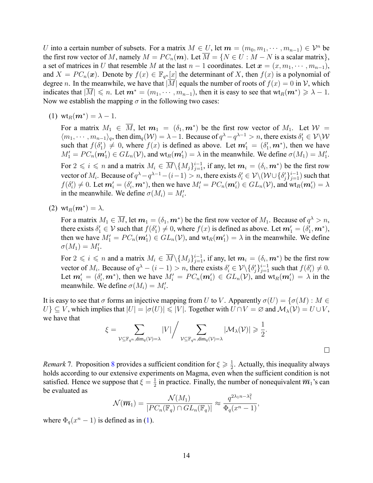*U* into a certain number of subsets. For a matrix  $M \in U$ , let  $m = (m_0, m_1, \dots, m_{n-1}) \in \mathcal{V}^n$  be the first row vector of *M*, namely  $M = PC_n(m)$ . Let  $\overline{M} = \{N \in U : M - N \text{ is a scalar matrix}\},$ a set of matrices in *U* that resemble *M* at the last  $n-1$  coordinates. Let  $\mathbf{x} = (x, m_1, \dots, m_{n-1}),$ and  $X = PC_n(x)$ . Denote by  $f(x) \in \mathbb{F}_{q^n}[x]$  the determinant of X, then  $f(x)$  is a polynomial of degree *n*. In the meanwhile, we have that  $|M|$  equals the number of roots of  $f(x) = 0$  in *V*, which indicates that  $|M| \le n$ . Let  $m^* = (m_1, \dots, m_{n-1})$ , then it is easy to see that  $wt_R(m^*) \ge \lambda - 1$ . Now we establish the mapping  $\sigma$  in the following two cases:

 $(1)$  wt<sub>R</sub> $(m^*) = \lambda - 1$ .

For a matrix  $M_1 \in \overline{M}$ , let  $m_1 = (\delta_1, m^*)$  be the first row vector of  $M_1$ . Let  $\mathcal{W} =$  $\langle m_1, \cdots, m_{n-1}\rangle_q$ , then  $\dim_q(\mathcal{W}) = \lambda - 1$ . Because of  $q^{\lambda} - q^{\lambda - 1} > n$ , there exists  $\delta'_1 \in \mathcal{V} \setminus \mathcal{W}$ such that  $f(\delta_1') \neq 0$ , where  $f(x)$  is defined as above. Let  $m'_1 = (\delta'_1, m^*)$ , then we have  $M'_1 = PC_n(\mathbf{m}'_1) \in GL_n(\mathcal{V})$ , and  $wt_R(\mathbf{m}'_1) = \lambda$  in the meanwhile. We define  $\sigma(M_1) = M'_1$ . For  $2 \leqslant i \leqslant n$  and a matrix  $M_i \in \overline{M} \setminus \{M_j\}_{j=1}^{i-1}$ , if any, let  $m_i = (\delta_i, m^*)$  be the first row vector of  $M_i$ . Because of  $q^{\lambda}-q^{\lambda-1}-(i-1)>n,$  there exists  $\delta_i'\in\mathcal{V}\backslash(\mathcal{W}\cup\{\delta_j'\}_{j=1}^{i-1})$  such that  $f(\delta_i')\neq 0.$  Let  $\bm{m}_i'=(\delta_i',\bm{m}^*)$ , then we have  $M_i'=PC_n(\bm{m}_i')\in GL_n(\mathcal{V}),$  and  $\text{wt}_R(\bm{m}_i')=\lambda$ in the meanwhile. We define  $\sigma(M_i) = M'_i$ .

 $(2)$  wt $_R(m^*) = \lambda$ .

For a matrix  $M_1 \in \overline{M}$ , let  $m_1 = (\delta_1, m^*)$  be the first row vector of  $M_1$ . Because of  $q^{\lambda} > n$ , there exists  $\delta'_1 \in \mathcal{V}$  such that  $f(\delta'_1) \neq 0$ , where  $f(x)$  is defined as above. Let  $m'_1 = (\delta'_1, m^*),$ then we have  $M'_1 = PC_n(\boldsymbol{m}'_1) \in GL_n(\mathcal{V})$ , and  $wt_R(\boldsymbol{m}'_1) = \lambda$  in the meanwhile. We define  $\sigma(M_1) = M'_1.$ 

For  $2 \leqslant i \leqslant n$  and a matrix  $M_i \in \overline{M} \setminus \{M_j\}_{j=1}^{i-1}$ , if any, let  $m_i = (\delta_i, m^*)$  be the first row vector of  $M_i$ . Because of  $q^{\lambda} - (i - 1) > n$ , there exists  $\delta'_i \in \mathcal{V} \setminus \{\delta'_j\}_{j=1}^{i-1}$  such that  $f(\delta'_i) \neq 0$ . Let  $m'_i = (\delta'_i, m^*)$ , then we have  $M'_i = PC_n(m'_i) \in GL_n(\mathcal{V})$ , and  $\text{wt}_R(m'_i) = \lambda$  in the meanwhile. We define  $\sigma(M_i) = M'_i$ .

It is easy to see that  $\sigma$  forms an injective mapping from *U* to *V*. Apparently  $\sigma(U) = {\sigma(M) : M \in \mathbb{R}^n}$  $U\} \subseteq V$ , which implies that  $|U| = |\sigma(U)| \leq |V|$ . Together with  $U \cap V = \emptyset$  and  $\mathcal{M}_{\lambda}(V) = U \cup V$ , we have that

$$
\xi = \sum_{\mathcal{V} \subseteq \mathbb{F}_{q^n}, \dim_q(\mathcal{V}) = \lambda} |V| \Big/ \sum_{\mathcal{V} \subseteq \mathbb{F}_{q^n}, \dim_q(\mathcal{V}) = \lambda} |\mathcal{M}_{\lambda}(\mathcal{V})| \geqslant \frac{1}{2}.
$$

*Remark* 7. Proposition [8](#page-12-0) provides a sufficient condition for  $\xi \geq \frac{1}{2}$  $\frac{1}{2}$ . Actually, this inequality always holds according to our extensive experiments on Magma, even when the sufficient condition is not satisfied. Hence we suppose that  $\xi = \frac{1}{2}$  $\frac{1}{2}$  in practice. Finally, the number of nonequivalent  $\overline{m}_1$ 's can be evaluated as

$$
\mathcal{N}(\overline{\boldsymbol{m}}_1) = \frac{\mathcal{N}(M_1)}{|PC_n(\mathbb{F}_q) \cap GL_n(\mathbb{F}_q)|} \approx \frac{q^{2\lambda_1 n - \lambda_1^2}}{\Phi_q(x^n - 1)},
$$

where $\Phi_q(x^n - 1)$  $\Phi_q(x^n - 1)$  is defined as in (1).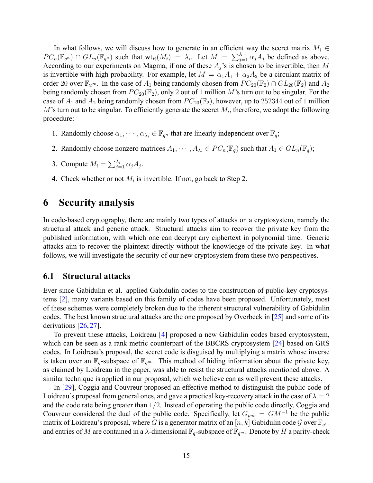In what follows, we will discuss how to generate in an efficient way the secret matrix  $M_i \in$  $PC_n(\mathbb{F}_{q^n}) \cap GL_n(\mathbb{F}_{q^n})$  such that  $\text{wt}_R(M_i) = \lambda_i$ . Let  $M = \sum_{j=1}^{\lambda} \alpha_j A_j$  be defined as above. According to our experiments on Magma, if one of these *A<sup>j</sup>* 's is chosen to be invertible, then *M* is invertible with high probability. For example, let  $M = \alpha_1 A_1 + \alpha_2 A_2$  be a circulant matrix of order 20 over  $\mathbb{F}_{2^{20}}$ . In the case of  $A_1$  being randomly chosen from  $PC_{20}(\mathbb{F}_2) \cap GL_{20}(\mathbb{F}_2)$  and  $A_2$ being randomly chosen from  $PC_{20}(\mathbb{F}_2)$ , only 2 out of 1 million M's turn out to be singular. For the case of  $A_1$  and  $A_2$  being randomly chosen from  $PC_{20}(\mathbb{F}_2)$ , however, up to 252344 out of 1 million  $M$ 's turn out to be singular. To efficiently generate the secret  $M_i$ , therefore, we adopt the following procedure:

- 1. Randomly choose  $\alpha_1, \dots, \alpha_{\lambda_i} \in \mathbb{F}_{q^n}$  that are linearly independent over  $\mathbb{F}_q$ ;
- 2. Randomly choose nonzero matrices  $A_1, \dots, A_{\lambda_i} \in PC_n(\mathbb{F}_q)$  such that  $A_1 \in GL_n(\mathbb{F}_q)$ ;
- 3. Compute  $M_i = \sum_{j=1}^{\lambda_i} \alpha_j A_j$ .
- 4. Check whether or not  $M_i$  is invertible. If not, go back to Step 2.

## <span id="page-14-0"></span>**6 Security analysis**

In code-based cryptography, there are mainly two types of attacks on a cryptosystem, namely the structural attack and generic attack. Structural attacks aim to recover the private key from the published information, with which one can decrypt any ciphertext in polynomial time. Generic attacks aim to recover the plaintext directly without the knowledge of the private key. In what follows, we will investigate the security of our new cryptosystem from these two perspectives.

#### <span id="page-14-1"></span>**6.1 Structural attacks**

Ever since Gabidulin et al. applied Gabidulin codes to the construction of public-key cryptosystems [\[2](#page-17-1)], many variants based on this family of codes have been proposed. Unfortunately, most of these schemes were completely broken due to the inherent structural vulnerability of Gabidulin codes. The best known structural attacks are the one proposed by Overbeck in [\[25\]](#page-19-0) and some of its derivations[[26,](#page-19-6) [27](#page-19-7)].

To prevent these attacks, Loidreau[[4\]](#page-17-4) proposed a new Gabidulin codes based cryptosystem, which can be seen as a rank metric counterpart of the BBCRS cryptosystem [\[24](#page-19-8)] based on GRS codes. In Loidreau's proposal, the secret code is disguised by multiplying a matrix whose inverse is taken over an  $\mathbb{F}_q$ -subspace of  $\mathbb{F}_{q^m}$ . This method of hiding information about the private key, as claimed by Loidreau in the paper, was able to resist the structural attacks mentioned above. A similar technique is applied in our proposal, which we believe can as well prevent these attacks.

In [\[29\]](#page-19-1), Coggia and Couvreur proposed an effective method to distinguish the public code of Loidreau's proposal from general ones, and gave a practical key-recovery attack in the case of  $\lambda = 2$ and the code rate being greater than 1/2. Instead of operating the public code directly, Coggia and Couvreur considered the dual of the public code. Specifically, let  $G_{pub} = G M^{-1}$  be the public matrix of Loidreau's proposal, where *G* is a generator matrix of an  $[n, k]$  Gabidulin code  $\mathcal G$  over  $\mathbb F_{q^m}$ and entries of *M* are contained in a *λ*-dimensional  $\mathbb{F}_q$ -subspace of  $\mathbb{F}_{q^m}$ . Denote by *H* a parity-check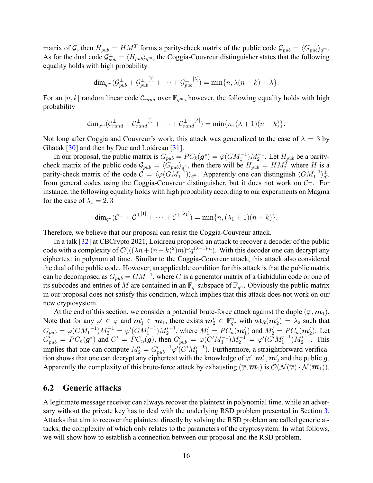matrix of G, then  $H_{pub} = HM^T$  forms a parity-check matrix of the public code  $\mathcal{G}_{pub} = \langle G_{pub} \rangle_{q^m}$ . As for the dual code  $\mathcal{G}^{\perp}_{pub} = \langle H_{pub} \rangle_{q^m}$ , the Coggia-Couvreur distinguisher states that the following equality holds with high probability

$$
\dim_{q^m}(\mathcal{G}_{pub}^{\perp}+\mathcal{G}_{pub}^{\perp^{[1]}}+\cdots+\mathcal{G}_{pub}^{\perp^{[\lambda]}})=\min\{n,\lambda(n-k)+\lambda\}.
$$

For an  $[n, k]$  random linear code  $C_{rand}$  over  $\mathbb{F}_{q^m}$ , however, the following equality holds with high probability

$$
\dim_{q^m}(\mathcal{C}^{\perp}_{rand}+\mathcal{C}^{\perp}_{rand}^{[1]}+\cdots+\mathcal{C}^{\perp}_{rand}^{[\lambda]})=\min\{n,(\lambda+1)(n-k)\}.
$$

Not long after Coggia and Couvreur's work, this attack was generalized to the case of  $\lambda = 3$  by Ghatak [\[30](#page-19-9)] and then by Duc and Loidreau [\[31](#page-19-5)].

In our proposal, the public matrix is  $G_{pub} = PC_k(\mathbf{g}^*) = \varphi(GM_1^{-1})M_2^{-1}$ . Let  $H_{pub}$  be a paritycheck matrix of the public code  $\mathcal{G}_{pub} = \langle G_{pub} \rangle_{q^n}$ , then there will be  $H_{pub} = H M_2^T$  where *H* is a parity-check matrix of the code  $C = \langle \varphi(GM_1^{-1}) \rangle_{q^n}$ . Apparently one can distinguish  $\langle GM_1^{-1} \rangle_{q^n}^{\perp}$ from general codes using the Coggia-Couvreur distinguisher, but it does not work on *C <sup>⊥</sup>*. For instance, the following equality holds with high probability according to our experiments on Magma for the case of  $\lambda_1 = 2, 3$ 

$$
\dim_{q^n}(\mathcal{C}^\perp+\mathcal{C}^{\perp^{[1]}}+\cdots+\mathcal{C}^{\perp^{[\lambda_1]}})=\min\{n,(\lambda_1+1)(n-k)\}.
$$

Therefore, we believe that our proposal can resist the Coggia-Couvreur attack.

In a talk[[32\]](#page-19-10) at CBCrypto 2021, Loidreau proposed an attack to recover a decoder of the public code with a complexity of  $\mathcal{O}((\lambda n + (n-k)^2)m)^{\omega}q^{(\lambda-1)m})$ . With this decoder one can decrypt any ciphertext in polynomial time. Similar to the Coggia-Couvreur attack, this attack also considered the dual of the public code. However, an applicable condition for this attack is that the public matrix can be decomposed as  $G_{pub} = GM^{-1}$ , where *G* is a generator matrix of a Gabidulin code or one of its subcodes and entries of M are contained in an  $\mathbb{F}_q$ -subspace of  $\mathbb{F}_{q^n}$ . Obviously the public matrix in our proposal does not satisfy this condition, which implies that this attack does not work on our new cryptosystem.

At the end of this section, we consider a potential brute-force attack against the duple  $(\overline{\varphi}, \overline{\mathbf{m}}_1)$ . Note that for any  $\varphi' \in \overline{\varphi}$  and  $m'_1 \in \overline{m}_1$ , there exists  $m'_2 \in \mathbb{F}_{q^n}^n$  with  $\text{wt}_R(m'_2) = \lambda_2$  such that  $G_{pub} = \varphi(GM_1^{-1})M_2^{-1} = \varphi'(GM_1'^{-1})M_2'^{-1}$ , where  $M_1' = PC_n(\mathbf{m}_1')$  and  $M_2' = PC_n(\mathbf{m}_2')$ . Let  $G'_{pub} = PC_n(g^*)$  and  $G' = PC_n(g)$ , then  $G'_{pub} = \varphi(G'M_1^{-1})M_2^{-1} = \varphi'(G'M_1'^{-1})M_2'^{-1}$ . This implies that one can compute  $M'_2 = G'_{pub}^{-1} \varphi'(G'M'_1^{-1})$ . Furthermore, a straightforward verification shows that one can decrypt any ciphertext with the knowledge of  $\varphi', \bm{m}'_1, \bm{m}'_2$  and the public  $\bm{g}.$ Apparently the complexity of this brute-force attack by exhausting  $(\overline{\varphi}, \overline{\mathbf{m}}_1)$  is  $\mathcal{O}(\mathcal{N}(\overline{\varphi}) \cdot \mathcal{N}(\overline{\mathbf{m}}_1)).$ 

#### **6.2 Generic attacks**

A legitimate message receiver can always recover the plaintext in polynomial time, while an adversary without the private key has to deal with the underlying RSD problem presented in Section [3](#page-4-0). Attacks that aim to recover the plaintext directly by solving the RSD problem are called generic attacks, the complexity of which only relates to the parameters of the cryptosystem. In what follows, we will show how to establish a connection between our proposal and the RSD problem.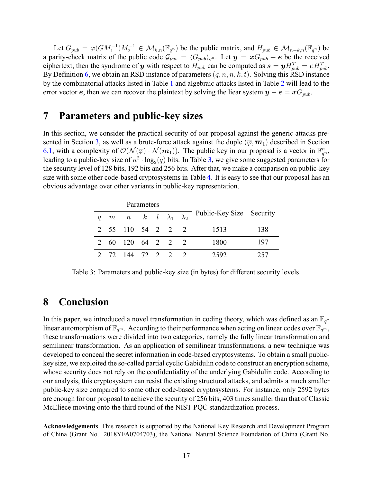Let  $G_{pub} = \varphi(GM_1^{-1})M_2^{-1} \in \mathcal{M}_{k,n}(\mathbb{F}_{q^n})$  be the public matrix, and  $H_{pub} \in \mathcal{M}_{n-k,n}(\mathbb{F}_{q^n})$  be a parity-check matrix of the public code  $\mathcal{G}_{pub} = \langle G_{pub} \rangle_{q^n}$ . Let  $y = xG_{pub} + e$  be the received ciphertext, then the syndrome of *y* with respect to  $H_{pub}$  can be computed as  $s = yH_{pub}^T = eH_{pub}^T$ . By Definition [6](#page-4-2), we obtain an RSD instance of parameters (*q, n, n, k, t*). Solving this RSD instance by the combinatorial attacks listed in Table [1](#page-5-1) and algebraic attacks listed in Table [2](#page-5-2) will lead to the error vector *e*, then we can recover the plaintext by solving the liear system  $y - e = xG_{pub}$ .

## <span id="page-16-0"></span>**7 Parameters and public-key sizes**

In this section, we consider the practical security of our proposal against the generic attacks pre-sented in Section [3](#page-4-0), as well as a brute-force attack against the duple  $(\overline{\varphi}, \overline{\mathbf{m}}_1)$  described in Section [6.1,](#page-14-1) with a complexity of  $\mathcal{O}(\mathcal{N}(\overline{\varphi}) \cdot \mathcal{N}(\overline{m}_1))$ . The public key in our proposal is a vector in  $\mathbb{F}_{q^n}^n$ , leading to a public-key size of  $n^2 \cdot \log_2(q)$  bits. In Table [3](#page-16-2), we give some suggested parameters for the security level of 128 bits, 192 bits and 256 bits. After that, we make a comparison on public-key size with some other code-based cryptosystems in Table [4](#page-17-5). It is easy to see that our proposal has an obvious advantage over other variants in public-key representation.

<span id="page-16-2"></span>

| Parameters |  |                                   |  |  |  |  |                            |     |
|------------|--|-----------------------------------|--|--|--|--|----------------------------|-----|
| a          |  | m n k $l$ $\lambda_1$ $\lambda_2$ |  |  |  |  | Public-Key Size   Security |     |
|            |  | 2 55 110 54 2 2 2                 |  |  |  |  | 1513                       | 138 |
|            |  | 60 120 64 2 2 2                   |  |  |  |  | 1800                       | 197 |
|            |  | 2 72 144 72 2 2 2                 |  |  |  |  | 2592                       | 257 |

Table 3: Parameters and public-key size (in bytes) for different security levels.

## <span id="page-16-1"></span>**8 Conclusion**

In this paper, we introduced a novel transformation in coding theory, which was defined as an  $\mathbb{F}_q$ linear automorphism of  $\mathbb{F}_{q^m}$ . According to their performance when acting on linear codes over  $\mathbb{F}_{q^m}$ , these transformations were divided into two categories, namely the fully linear transformation and semilinear transformation. As an application of semilinear transformations, a new technique was developed to conceal the secret information in code-based cryptosystems. To obtain a small publickey size, we exploited the so-called partial cyclic Gabidulin code to construct an encryption scheme, whose security does not rely on the confidentiality of the underlying Gabidulin code. According to our analysis, this cryptosystem can resist the existing structural attacks, and admits a much smaller public-key size compared to some other code-based cryptosystems. For instance, only 2592 bytes are enough for our proposal to achieve the security of 256 bits, 403 times smaller than that of Classic McEliece moving onto the third round of the NIST PQC standardization process.

**Acknowledgements** This research is supported by the National Key Research and Development Program of China (Grant No. 2018YFA0704703), the National Natural Science Foundation of China (Grant No.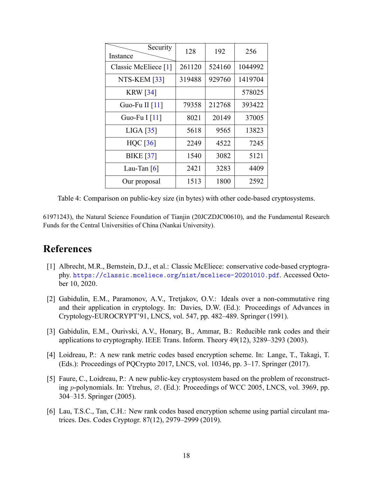<span id="page-17-5"></span>

| Security<br>Instance | 128    | 192    | 256     |
|----------------------|--------|--------|---------|
| Classic McEliece [1] | 261120 | 524160 | 1044992 |
| NTS-KEM [33]         | 319488 | 929760 | 1419704 |
| <b>KRW</b> [34]      |        |        | 578025  |
| Guo-Fu II $[11]$     | 79358  | 212768 | 393422  |
| Guo-Fu I [11]        | 8021   | 20149  | 37005   |
| LIGA [35]            | 5618   | 9565   | 13823   |
| $HQC$ [36]           | 2249   | 4522   | 7245    |
| <b>BIKE</b> [37]     | 1540   | 3082   | 5121    |
| Lau-Tan $[6]$        | 2421   | 3283   | 4409    |
| Our proposal         | 1513   | 1800   | 2592    |

Table 4: Comparison on public-key size (in bytes) with other code-based cryptosystems.

61971243), the Natural Science Foundation of Tianjin (20JCZDJC00610), and the Fundamental Research Funds for the Central Universities of China (Nankai University).

## **References**

- <span id="page-17-0"></span>[1] Albrecht, M.R., Bernstein, D.J., et al.: Classic McEliece: conservative code-based cryptography. <https://classic.mceliece.org/nist/mceliece-20201010.pdf>. Accessed October 10, 2020.
- <span id="page-17-1"></span>[2] Gabidulin, E.M., Paramonov, A.V., Tretjakov, O.V.: Ideals over a non-commutative ring and their application in cryptology. In: Davies, D.W. (Ed.): Proceedings of Advances in Cryptology-EUROCRYPT'91, LNCS, vol. 547, pp. 482–489. Springer (1991).
- <span id="page-17-2"></span>[3] Gabidulin, E.M., Ourivski, A.V., Honary, B., Ammar, B.: Reducible rank codes and their applications to cryptography. IEEE Trans. Inform. Theory 49(12), 3289–3293 (2003).
- <span id="page-17-4"></span>[4] Loidreau, P.: A new rank metric codes based encryption scheme. In: Lange, T., Takagi, T. (Eds.): Proceedings of PQCrypto 2017, LNCS, vol. 10346, pp. 3–17. Springer (2017).
- [5] Faure, C., Loidreau, P.: A new public-key cryptosystem based on the problem of reconstructing *p*-polynomials. In: Ytrehus, ∅. (Ed.): Proceedings of WCC 2005, LNCS, vol. 3969, pp. 304–315. Springer (2005).
- <span id="page-17-3"></span>[6] Lau, T.S.C., Tan, C.H.: New rank codes based encryption scheme using partial circulant matrices. Des. Codes Cryptogr. 87(12), 2979–2999 (2019).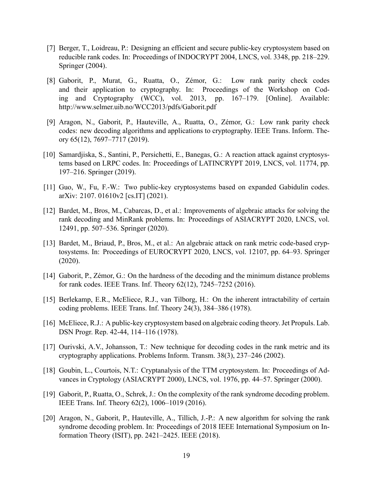- <span id="page-18-1"></span>[7] Berger, T., Loidreau, P.: Designing an efficient and secure public-key cryptosystem based on reducible rank codes. In: Proceedings of INDOCRYPT 2004, LNCS, vol. 3348, pp. 218–229. Springer (2004).
- <span id="page-18-2"></span>[8] Gaborit, P., Murat, G., Ruatta, O., Zémor, G.: Low rank parity check codes and their application to cryptography. In: Proceedings of the Workshop on Coding and Cryptography (WCC), vol. 2013, pp. 167–179. [Online]. Available: http://www.selmer.uib.no/WCC2013/pdfs/Gaborit.pdf
- <span id="page-18-3"></span>[9] Aragon, N., Gaborit, P., Hauteville, A., Ruatta, O., Zémor, G.: Low rank parity check codes: new decoding algorithms and applications to cryptography. IEEE Trans. Inform. Theory 65(12), 7697–7717 (2019).
- <span id="page-18-4"></span>[10] Samardjiska, S., Santini, P., Persichetti, E., Banegas, G.: A reaction attack against cryptosystems based on LRPC codes. In: Proceedings of LATINCRYPT 2019, LNCS, vol. 11774, pp. 197–216. Springer (2019).
- <span id="page-18-5"></span>[11] Guo, W., Fu, F.-W.: Two public-key cryptosystems based on expanded Gabidulin codes. arXiv: 2107. 01610v2 [cs.IT] (2021).
- <span id="page-18-11"></span>[12] Bardet, M., Bros, M., Cabarcas, D., et al.: Improvements of algebraic attacks for solving the rank decoding and MinRank problems. In: Proceedings of ASIACRYPT 2020, LNCS, vol. 12491, pp. 507–536. Springer (2020).
- <span id="page-18-12"></span>[13] Bardet, M., Briaud, P., Bros, M., et al.: An algebraic attack on rank metric code-based cryptosystems. In: Proceedings of EUROCRYPT 2020, LNCS, vol. 12107, pp. 64–93. Springer (2020).
- <span id="page-18-7"></span>[14] Gaborit, P., Zémor, G.: On the hardness of the decoding and the minimum distance problems for rank codes. IEEE Trans. Inf. Theory 62(12), 7245–7252 (2016).
- <span id="page-18-6"></span>[15] Berlekamp, E.R., McEliece, R.J., van Tilborg, H.: On the inherent intractability of certain coding problems. IEEE Trans. Inf. Theory 24(3), 384–386 (1978).
- <span id="page-18-0"></span>[16] McEliece, R.J.: A public-key cryptosystem based on algebraic coding theory. Jet Propuls. Lab. DSN Progr. Rep. 42-44, 114–116 (1978).
- <span id="page-18-8"></span>[17] Ourivski, A.V., Johansson, T.: New technique for decoding codes in the rank metric and its cryptography applications. Problems Inform. Transm. 38(3), 237–246 (2002).
- <span id="page-18-13"></span>[18] Goubin, L., Courtois, N.T.: Cryptanalysis of the TTM cryptosystem. In: Proceedings of Advances in Cryptology (ASIACRYPT 2000), LNCS, vol. 1976, pp. 44–57. Springer (2000).
- <span id="page-18-9"></span>[19] Gaborit, P., Ruatta, O., Schrek, J.: On the complexity of the rank syndrome decoding problem. IEEE Trans. Inf. Theory 62(2), 1006–1019 (2016).
- <span id="page-18-10"></span>[20] Aragon, N., Gaborit, P., Hauteville, A., Tillich, J.-P.: A new algorithm for solving the rank syndrome decoding problem. In: Proceedings of 2018 IEEE International Symposium on Information Theory (ISIT), pp. 2421–2425. IEEE (2018).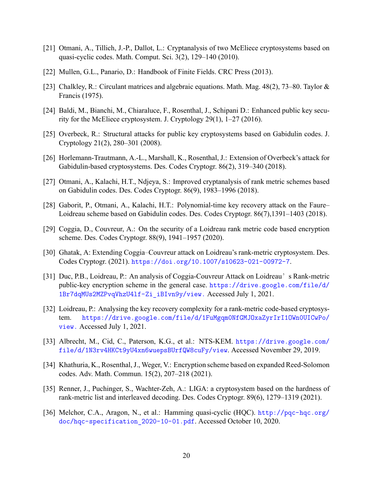- <span id="page-19-3"></span>[21] Otmani, A., Tillich, J.-P., Dallot, L.: Cryptanalysis of two McEliece cryptosystems based on quasi-cyclic codes. Math. Comput. Sci. 3(2), 129–140 (2010).
- <span id="page-19-4"></span>[22] Mullen, G.L., Panario, D.: Handbook of Finite Fields. CRC Press (2013).
- <span id="page-19-2"></span>[23] Chalkley, R.: Circulant matrices and algebraic equations. Math. Mag. 48(2), 73–80. Taylor & Francis (1975).
- <span id="page-19-8"></span>[24] Baldi, M., Bianchi, M., Chiaraluce, F., Rosenthal, J., Schipani D.: Enhanced public key security for the McEliece cryptosystem. J. Cryptology 29(1), 1–27 (2016).
- <span id="page-19-0"></span>[25] Overbeck, R.: Structural attacks for public key cryptosystems based on Gabidulin codes. J. Cryptology 21(2), 280–301 (2008).
- <span id="page-19-6"></span>[26] Horlemann-Trautmann, A.-L., Marshall, K., Rosenthal, J.: Extension of Overbeck's attack for Gabidulin-based cryptosystems. Des. Codes Cryptogr. 86(2), 319–340 (2018).
- <span id="page-19-7"></span>[27] Otmani, A., Kalachi, H.T., Ndjeya, S.: Improved cryptanalysis of rank metric schemes based on Gabidulin codes. Des. Codes Cryptogr. 86(9), 1983–1996 (2018).
- [28] Gaborit, P., Otmani, A., Kalachi, H.T.: Polynomial-time key recovery attack on the Faure– Loidreau scheme based on Gabidulin codes. Des. Codes Cryptogr. 86(7),1391–1403 (2018).
- <span id="page-19-1"></span>[29] Coggia, D., Couvreur, A.: On the security of a Loidreau rank metric code based encryption scheme. Des. Codes Cryptogr. 88(9), 1941–1957 (2020).
- <span id="page-19-9"></span>[30] Ghatak, A: Extending Coggia–Couvreur attack on Loidreau's rank-metric cryptosystem. Des. Codes Cryptogr. (2021). <https://doi.org/10.1007/s10623-021-00972-7>.
- <span id="page-19-5"></span>[31] Duc, P.B., Loidreau, P.: An analysis of Coggia-Couvreur Attack on Loidreau's Rank-metric public-key encryption scheme in the general case. [https://drive.google.com/file/d/](https://drive.google.com/file/d/1Br7dqMUs2MZPvqVhzU4lf-Zi_iBIvn9y/view.) [1Br7dqMUs2MZPvqVhzU4lf-Zi\\_iBIvn9y/view.](https://drive.google.com/file/d/1Br7dqMUs2MZPvqVhzU4lf-Zi_iBIvn9y/view.) Accessed July 1, 2021.
- <span id="page-19-10"></span>[32] Loidreau, P.: Analysing the key recovery complexity for a rank-metric code-based cryptosystem. [https://drive.google.com/file/d/1FuMgqm0NfGMJOxaZyrIrI1OWn0UICwPo/](https://drive.google.com/file/d/1FuMgqm0NfGMJOxaZyrIrI1OWn0UICwPo/view.) [view.](https://drive.google.com/file/d/1FuMgqm0NfGMJOxaZyrIrI1OWn0UICwPo/view.) Accessed July 1, 2021.
- <span id="page-19-11"></span>[33] Albrecht, M., Cid, C., Paterson, K.G., et al.: NTS-KEM. [https://drive.google.com/](https://drive.google.com/file/d/1N3rv4HKCt9yU4xn6wuepsBUrfQW8cuFy/view) [file/d/1N3rv4HKCt9yU4xn6wuepsBUrfQW8cuFy/view](https://drive.google.com/file/d/1N3rv4HKCt9yU4xn6wuepsBUrfQW8cuFy/view). Accessed November 29, 2019.
- <span id="page-19-12"></span>[34] Khathuria, K., Rosenthal, J., Weger, V.: Encryption scheme based on expanded Reed-Solomon codes. Adv. Math. Commun. 15(2), 207–218 (2021).
- <span id="page-19-13"></span>[35] Renner, J., Puchinger, S., Wachter-Zeh, A.: LIGA: a cryptosystem based on the hardness of rank-metric list and interleaved decoding. Des. Codes Cryptogr. 89(6), 1279–1319 (2021).
- <span id="page-19-14"></span>[36] Melchor, C.A., Aragon, N., et al.: Hamming quasi-cyclic (HQC). [http://pqc-hqc.org/](http://pqc-hqc.org/doc/hqc-specification_2020-10-01.pdf) [doc/hqc-specification\\_2020-10-01.pdf](http://pqc-hqc.org/doc/hqc-specification_2020-10-01.pdf). Accessed October 10, 2020.